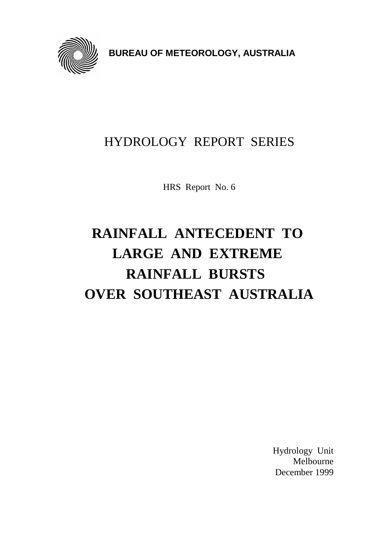

**BUREAU OF METEOROLOGY, AUSTRALIA**

# HYDROLOGY REPORT SERIES

HRS Report No. 6

# **RAINFALL ANTECEDENT TO LARGE AND EXTREME RAINFALL BURSTS OVER SOUTHEAST AUSTRALIA**

Hydrology Unit Melbourne December 1999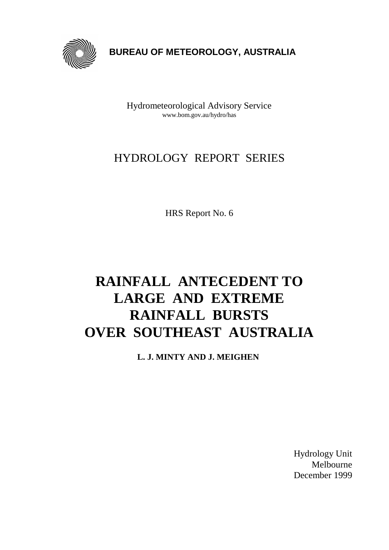

 **BUREAU OF METEOROLOGY, AUSTRALIA**

Hydrometeorological Advisory Service www.bom.gov.au/hydro/has

# HYDROLOGY REPORT SERIES

HRS Report No. 6

# **RAINFALL ANTECEDENT TO LARGE AND EXTREME RAINFALL BURSTS OVER SOUTHEAST AUSTRALIA**

**L. J. MINTY AND J. MEIGHEN**

Hydrology Unit Melbourne December 1999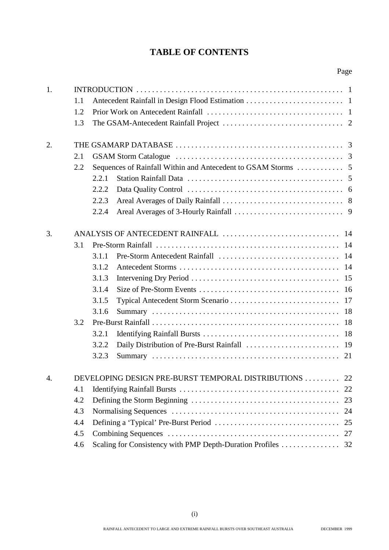### **TABLE OF CONTENTS**

| 1. | 1.1<br>1.2<br>1.3 |       |                                                          |    |
|----|-------------------|-------|----------------------------------------------------------|----|
| 2. |                   |       |                                                          |    |
|    | 2.1               |       |                                                          |    |
|    | 2.2               |       |                                                          |    |
|    |                   | 2.2.1 |                                                          |    |
|    |                   | 2.2.2 |                                                          |    |
|    |                   | 2.2.3 |                                                          |    |
|    |                   | 2.2.4 |                                                          |    |
| 3. |                   |       |                                                          |    |
|    | 3.1               |       |                                                          |    |
|    |                   | 3.1.1 |                                                          |    |
|    |                   | 3.1.2 |                                                          |    |
|    |                   | 3.1.3 |                                                          |    |
|    |                   | 3.1.4 |                                                          |    |
|    |                   | 3.1.5 |                                                          |    |
|    |                   | 3.1.6 |                                                          |    |
|    | 3.2               |       |                                                          |    |
|    |                   | 3.2.1 |                                                          |    |
|    |                   | 3.2.2 |                                                          |    |
|    |                   | 3.2.3 |                                                          | 21 |
| 4. |                   |       | DEVELOPING DESIGN PRE-BURST TEMPORAL DISTRIBUTIONS       | 22 |
|    | 4.1               |       |                                                          | 22 |
|    | 4.2               |       |                                                          | 23 |
|    | 4.3               |       |                                                          | 24 |
|    | 4.4               |       |                                                          | 25 |
|    | 4.5               |       |                                                          | 27 |
|    | 4.6               |       | Scaling for Consistency with PMP Depth-Duration Profiles | 32 |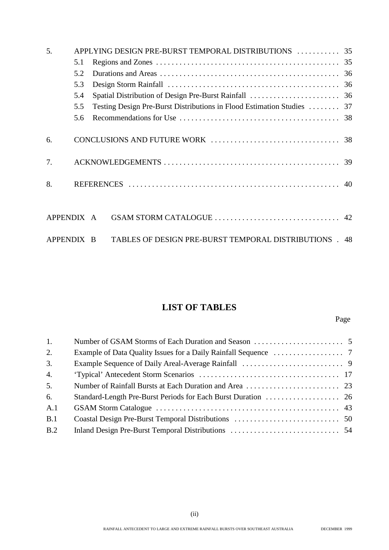| 5.         |     | APPLYING DESIGN PRE-BURST TEMPORAL DISTRIBUTIONS  35                   |  |
|------------|-----|------------------------------------------------------------------------|--|
|            | 5.1 |                                                                        |  |
|            | 5.2 |                                                                        |  |
|            | 5.3 |                                                                        |  |
|            | 5.4 |                                                                        |  |
|            | 5.5 | Testing Design Pre-Burst Distributions in Flood Estimation Studies  37 |  |
|            | 5.6 |                                                                        |  |
| 6.         |     |                                                                        |  |
| 7.         |     |                                                                        |  |
| 8.         |     |                                                                        |  |
| APPENDIX A |     |                                                                        |  |
| APPENDIX B |     | TABLES OF DESIGN PRE-BURST TEMPORAL DISTRIBUTIONS . 48                 |  |

# **LIST OF TABLES**

Page

| 1.               |  |
|------------------|--|
| 2.               |  |
| 3.               |  |
| $\overline{4}$ . |  |
| 5.               |  |
| 6.               |  |
| A.1              |  |
| B.1              |  |
| B.2              |  |
|                  |  |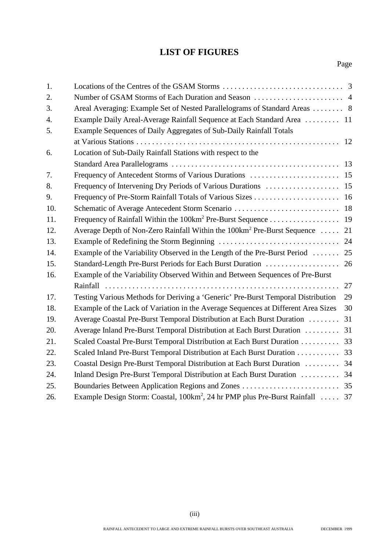### **LIST OF FIGURES**

| 1.  |                                                                                           |    |
|-----|-------------------------------------------------------------------------------------------|----|
| 2.  |                                                                                           |    |
| 3.  | Areal Averaging: Example Set of Nested Parallelograms of Standard Areas  8                |    |
| 4.  | Example Daily Areal-Average Rainfall Sequence at Each Standard Area  11                   |    |
| 5.  | Example Sequences of Daily Aggregates of Sub-Daily Rainfall Totals                        |    |
|     |                                                                                           | 12 |
| 6.  | Location of Sub-Daily Rainfall Stations with respect to the                               |    |
|     |                                                                                           |    |
| 7.  | Frequency of Antecedent Storms of Various Durations  15                                   |    |
| 8.  |                                                                                           |    |
| 9.  |                                                                                           |    |
| 10. |                                                                                           |    |
| 11. | Frequency of Rainfall Within the 100km <sup>2</sup> Pre-Burst Sequence 19                 |    |
| 12. | Average Depth of Non-Zero Rainfall Within the 100km <sup>2</sup> Pre-Burst Sequence       | 21 |
| 13. |                                                                                           | 24 |
| 14. | Example of the Variability Observed in the Length of the Pre-Burst Period                 | 25 |
| 15. | Standard-Length Pre-Burst Periods for Each Burst Duration                                 | 26 |
| 16. | Example of the Variability Observed Within and Between Sequences of Pre-Burst             |    |
|     |                                                                                           | 27 |
| 17. | Testing Various Methods for Deriving a 'Generic' Pre-Burst Temporal Distribution          | 29 |
| 18. | Example of the Lack of Variation in the Average Sequences at Different Area Sizes         | 30 |
| 19. | Average Coastal Pre-Burst Temporal Distribution at Each Burst Duration                    | 31 |
| 20. | Average Inland Pre-Burst Temporal Distribution at Each Burst Duration                     | 31 |
| 21. | Scaled Coastal Pre-Burst Temporal Distribution at Each Burst Duration  33                 |    |
| 22. | Scaled Inland Pre-Burst Temporal Distribution at Each Burst Duration                      | 33 |
| 23. | Coastal Design Pre-Burst Temporal Distribution at Each Burst Duration  34                 |    |
| 24. | Inland Design Pre-Burst Temporal Distribution at Each Burst Duration  34                  |    |
| 25. |                                                                                           |    |
| 26. | Example Design Storm: Coastal, 100km <sup>2</sup> , 24 hr PMP plus Pre-Burst Rainfall  37 |    |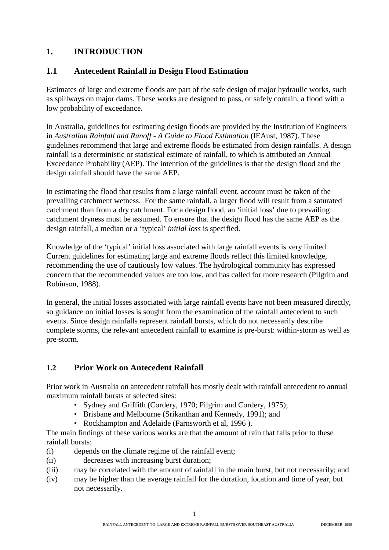#### **1. INTRODUCTION**

#### **1.1 Antecedent Rainfall in Design Flood Estimation**

Estimates of large and extreme floods are part of the safe design of major hydraulic works, such as spillways on major dams. These works are designed to pass, or safely contain, a flood with a low probability of exceedance.

In Australia, guidelines for estimating design floods are provided by the Institution of Engineers in *Australian Rainfall and Runoff - A Guide to Flood Estimation* (IEAust, 1987). These guidelines recommend that large and extreme floods be estimated from design rainfalls. A design rainfall is a deterministic or statistical estimate of rainfall, to which is attributed an Annual Exceedance Probability (AEP). The intention of the guidelines is that the design flood and the design rainfall should have the same AEP.

In estimating the flood that results from a large rainfall event, account must be taken of the prevailing catchment wetness. For the same rainfall, a larger flood will result from a saturated catchment than from a dry catchment. For a design flood, an 'initial loss' due to prevailing catchment dryness must be assumed. To ensure that the design flood has the same AEP as the design rainfall, a median or a 'typical' *initial loss* is specified.

Knowledge of the 'typical' initial loss associated with large rainfall events is very limited. Current guidelines for estimating large and extreme floods reflect this limited knowledge, recommending the use of cautiously low values. The hydrological community has expressed concern that the recommended values are too low, and has called for more research (Pilgrim and Robinson, 1988).

In general, the initial losses associated with large rainfall events have not been measured directly, so guidance on initial losses is sought from the examination of the rainfall antecedent to such events. Since design rainfalls represent rainfall bursts, which do not necessarily describe complete storms, the relevant antecedent rainfall to examine is pre-burst: within-storm as well as pre-storm.

### **1.2 Prior Work on Antecedent Rainfall**

Prior work in Australia on antecedent rainfall has mostly dealt with rainfall antecedent to annual maximum rainfall bursts at selected sites:

- Sydney and Griffith (Cordery, 1970; Pilgrim and Cordery, 1975);
- Brisbane and Melbourne (Srikanthan and Kennedy, 1991); and
- Rockhampton and Adelaide (Farnsworth et al, 1996 ).

The main findings of these various works are that the amount of rain that falls prior to these rainfall bursts:

- (i) depends on the climate regime of the rainfall event;
- (ii) decreases with increasing burst duration;
- (iii) may be correlated with the amount of rainfall in the main burst, but not necessarily; and
- (iv) may be higher than the average rainfall for the duration, location and time of year, but not necessarily.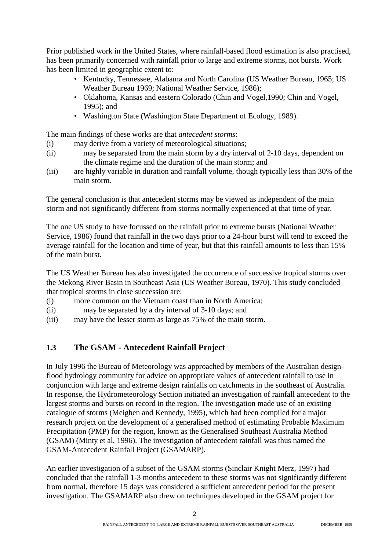Prior published work in the United States, where rainfall-based flood estimation is also practised, has been primarily concerned with rainfall prior to large and extreme storms, not bursts. Work has been limited in geographic extent to:

- Kentucky, Tennessee, Alabama and North Carolina (US Weather Bureau, 1965; US Weather Bureau 1969; National Weather Service, 1986);
- Oklahoma, Kansas and eastern Colorado (Chin and Vogel,1990; Chin and Vogel, 1995); and
- Washington State (Washington State Department of Ecology, 1989).

The main findings of these works are that *antecedent storms*:

- (i) may derive from a variety of meteorological situations;
- (ii) may be separated from the main storm by a dry interval of 2-10 days, dependent on the climate regime and the duration of the main storm; and
- (iii) are highly variable in duration and rainfall volume, though typically less than 30% of the main storm.

The general conclusion is that antecedent storms may be viewed as independent of the main storm and not significantly different from storms normally experienced at that time of year.

The one US study to have focussed on the rainfall prior to extreme bursts (National Weather Service, 1986) found that rainfall in the two days prior to a 24-hour burst will tend to exceed the average rainfall for the location and time of year, but that this rainfall amounts to less than 15% of the main burst.

The US Weather Bureau has also investigated the occurrence of successive tropical storms over the Mekong River Basin in Southeast Asia (US Weather Bureau, 1970). This study concluded that tropical storms in close succession are:

- (i) more common on the Vietnam coast than in North America;
- (ii) may be separated by a dry interval of 3-10 days; and
- (iii) may have the lesser storm as large as 75% of the main storm.

#### **1.3 The GSAM - Antecedent Rainfall Project**

In July 1996 the Bureau of Meteorology was approached by members of the Australian designflood hydrology community for advice on appropriate values of antecedent rainfall to use in conjunction with large and extreme design rainfalls on catchments in the southeast of Australia. In response, the Hydrometeorology Section initiated an investigation of rainfall antecedent to the largest storms and bursts on record in the region. The investigation made use of an existing catalogue of storms (Meighen and Kennedy, 1995), which had been compiled for a major research project on the development of a generalised method of estimating Probable Maximum Precipitation (PMP) for the region, known as the Generalised Southeast Australia Method (GSAM) (Minty et al, 1996). The investigation of antecedent rainfall was thus named the GSAM-Antecedent Rainfall Project (GSAMARP).

An earlier investigation of a subset of the GSAM storms (Sinclair Knight Merz, 1997) had concluded that the rainfall 1-3 months antecedent to these storms was not significantly different from normal, therefore 15 days was considered a sufficient antecedent period for the present investigation. The GSAMARP also drew on techniques developed in the GSAM project for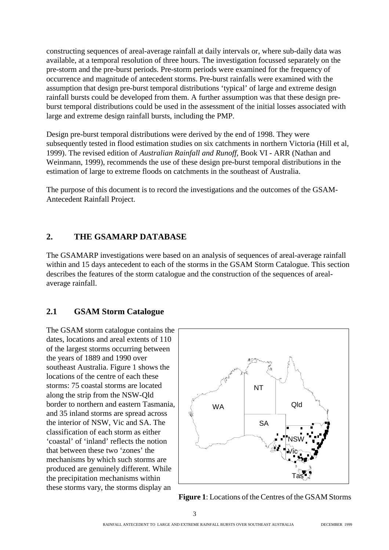constructing sequences of areal-average rainfall at daily intervals or, where sub-daily data was available, at a temporal resolution of three hours. The investigation focussed separately on the pre-storm and the pre-burst periods. Pre-storm periods were examined for the frequency of occurrence and magnitude of antecedent storms. Pre-burst rainfalls were examined with the assumption that design pre-burst temporal distributions 'typical' of large and extreme design rainfall bursts could be developed from them. A further assumption was that these design preburst temporal distributions could be used in the assessment of the initial losses associated with large and extreme design rainfall bursts, including the PMP.

Design pre-burst temporal distributions were derived by the end of 1998. They were subsequently tested in flood estimation studies on six catchments in northern Victoria (Hill et al, 1999). The revised edition of *Australian Rainfall and Runoff*, Book VI - ARR (Nathan and Weinmann, 1999), recommends the use of these design pre-burst temporal distributions in the estimation of large to extreme floods on catchments in the southeast of Australia.

The purpose of this document is to record the investigations and the outcomes of the GSAM-Antecedent Rainfall Project.

#### **2. THE GSAMARP DATABASE**

The GSAMARP investigations were based on an analysis of sequences of areal-average rainfall within and 15 days antecedent to each of the storms in the GSAM Storm Catalogue. This section describes the features of the storm catalogue and the construction of the sequences of arealaverage rainfall.

#### **2.1 GSAM Storm Catalogue**

The GSAM storm catalogue contains the dates, locations and areal extents of 110 of the largest storms occurring between the years of 1889 and 1990 over southeast Australia. Figure 1 shows the locations of the centre of each these storms: 75 coastal storms are located along the strip from the NSW-Qld border to northern and eastern Tasmania, and 35 inland storms are spread across the interior of NSW, Vic and SA. The classification of each storm as either 'coastal' of 'inland' reflects the notion that between these two 'zones' the mechanisms by which such storms are produced are genuinely different. While the precipitation mechanisms within these storms vary, the storms display an



**Figure 1**: Locations of the Centres of the GSAM Storms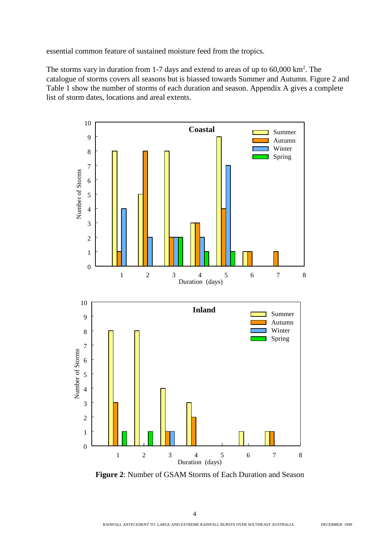essential common feature of sustained moisture feed from the tropics.

The storms vary in duration from 1-7 days and extend to areas of up to  $60,000 \text{ km}^2$ . The catalogue of storms covers all seasons but is biassed towards Summer and Autumn. Figure 2 and Table 1 show the number of storms of each duration and season. Appendix A gives a complete list of storm dates, locations and areal extents.



**Figure 2**: Number of GSAM Storms of Each Duration and Season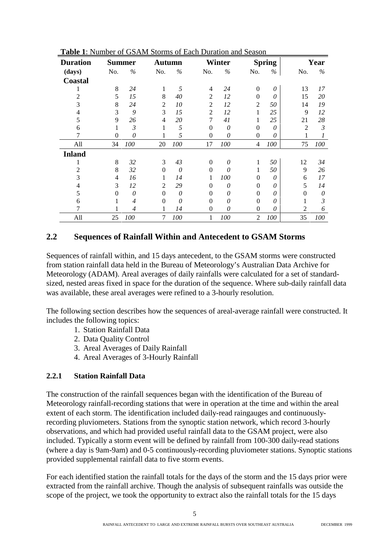| <b>Duration</b> |                | Summer         | Autumn         |          |                | <b>Winter</b> |                | <b>Spring</b> |                | Year           |
|-----------------|----------------|----------------|----------------|----------|----------------|---------------|----------------|---------------|----------------|----------------|
| (days)          | No.            | $\%$           | No.            | $\%$     | No.            | $\%$          | No.            | $\%$          | No.            | $\%$           |
| <b>Coastal</b>  |                |                |                |          |                |               |                |               |                |                |
|                 | 8              | 24             | 1              | 5        | 4              | 24            | $\Omega$       | 0             | 13             | 17             |
| 2               | 5              | 15             | 8              | 40       | $\overline{2}$ | 12            | $\Omega$       | $\theta$      | 15             | 20             |
| 3               | 8              | 24             | $\overline{2}$ | 10       | $\overline{2}$ | 12            | $\overline{2}$ | 50            | 14             | 19             |
| 4               | 3              | 9              | 3              | 15       | $\overline{2}$ | 12            |                | 25            | 9              | 12             |
| 5               | 9              | 26             | $\overline{4}$ | 20       | 7              | 41            |                | 25            | 21             | 28             |
| 6               | 1              | $\mathfrak{Z}$ |                | 5        | $\Omega$       | 0             | $\Omega$       | $\theta$      | $\overline{c}$ | $\mathfrak{Z}$ |
| 7               | $\theta$       | 0              |                | 5        | $\theta$       | 0             | $\Omega$       | 0             |                | 1              |
| All             | 34             | 100            | 20             | 100      | 17             | 100           | 4              | 100           | 75             | 100            |
| <b>Inland</b>   |                |                |                |          |                |               |                |               |                |                |
|                 | 8              | 32             | 3              | 43       | $\Omega$       | 0             | 1              | 50            | 12             | 34             |
| 2               | 8              | 32             | $\Omega$       | $\theta$ | $\overline{0}$ | $\theta$      | 1              | 50            | 9              | 26             |
| 3               | $\overline{4}$ | 16             |                | 14       | 1              | 100           | $\Omega$       | 0             | 6              | 17             |
| 4               | 3              | 12             | $\overline{2}$ | 29       | $\Omega$       | 0             | $\Omega$       | 0             | 5              | 14             |
| 5               | $\Omega$       | 0              | $\Omega$       | 0        | $\Omega$       | $\theta$      | $\theta$       | 0             | $\Omega$       | $\theta$       |
| 6               |                | 4              | $\Omega$       | 0        | $\Omega$       | $\theta$      | $\theta$       | 0             |                | 3              |
| 7               |                | 4              |                | 14       | $\mathbf{0}$   | 0             | $\theta$       | 0             | $\mathfrak{D}$ | 6              |
| All             | 25             | 100            | 7              | 100      | 1              | 100           | $\overline{2}$ | 100           | 35             | 100            |

**Table 1**: Number of GSAM Storms of Each Duration and Season

#### **2.2 Sequences of Rainfall Within and Antecedent to GSAM Storms**

Sequences of rainfall within, and 15 days antecedent, to the GSAM storms were constructed from station rainfall data held in the Bureau of Meteorology's Australian Data Archive for Meteorology (ADAM). Areal averages of daily rainfalls were calculated for a set of standardsized, nested areas fixed in space for the duration of the sequence. Where sub-daily rainfall data was available, these areal averages were refined to a 3-hourly resolution.

The following section describes how the sequences of areal-average rainfall were constructed. It includes the following topics:

- 1. Station Rainfall Data
- 2. Data Quality Control
- 3. Areal Averages of Daily Rainfall
- 4. Areal Averages of 3-Hourly Rainfall

#### **2.2.1 Station Rainfall Data**

The construction of the rainfall sequences began with the identification of the Bureau of Meteorology rainfall-recording stations that were in operation at the time and within the areal extent of each storm. The identification included daily-read raingauges and continuouslyrecording pluviometers. Stations from the synoptic station network, which record 3-hourly observations, and which had provided useful rainfall data to the GSAM project, were also included. Typically a storm event will be defined by rainfall from 100-300 daily-read stations (where a day is 9am-9am) and 0-5 continuously-recording pluviometer stations. Synoptic stations provided supplemental rainfall data to five storm events.

For each identified station the rainfall totals for the days of the storm and the 15 days prior were extracted from the rainfall archive. Though the analysis of subsequent rainfalls was outside the scope of the project, we took the opportunity to extract also the rainfall totals for the 15 days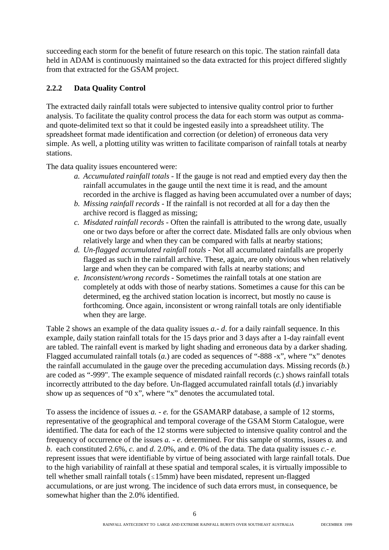succeeding each storm for the benefit of future research on this topic. The station rainfall data held in ADAM is continuously maintained so the data extracted for this project differed slightly from that extracted for the GSAM project.

#### **2.2.2 Data Quality Control**

The extracted daily rainfall totals were subjected to intensive quality control prior to further analysis. To facilitate the quality control process the data for each storm was output as commaand quote-delimited text so that it could be ingested easily into a spreadsheet utility. The spreadsheet format made identification and correction (or deletion) of erroneous data very simple. As well, a plotting utility was written to facilitate comparison of rainfall totals at nearby stations.

The data quality issues encountered were:

- *a. Accumulated rainfall totals* If the gauge is not read and emptied every day then the rainfall accumulates in the gauge until the next time it is read, and the amount recorded in the archive is flagged as having been accumulated over a number of days;
- *b. Missing rainfall records* If the rainfall is not recorded at all for a day then the archive record is flagged as missing;
- *c. Misdated rainfall records* Often the rainfall is attributed to the wrong date, usually one or two days before or after the correct date. Misdated falls are only obvious when relatively large and when they can be compared with falls at nearby stations;
- *d. Un-flagged accumulated rainfall totals* Not all accumulated rainfalls are properly flagged as such in the rainfall archive. These, again, are only obvious when relatively large and when they can be compared with falls at nearby stations; and
- *e. Inconsistent/wrong records* Sometimes the rainfall totals at one station are completely at odds with those of nearby stations. Sometimes a cause for this can be determined, eg the archived station location is incorrect, but mostly no cause is forthcoming. Once again, inconsistent or wrong rainfall totals are only identifiable when they are large.

Table 2 shows an example of the data quality issues *a.- d*. for a daily rainfall sequence. In this example, daily station rainfall totals for the 15 days prior and 3 days after a 1-day rainfall event are tabled. The rainfall event is marked by light shading and erroneous data by a darker shading. Flagged accumulated rainfall totals (*a.*) are coded as sequences of "-888 -x", where "x" denotes the rainfall accumulated in the gauge over the preceding accumulation days. Missing records (*b.*) are coded as "-999". The example sequence of misdated rainfall records (*c.*) shows rainfall totals incorrectly attributed to the day before. Un-flagged accumulated rainfall totals (*d.*) invariably show up as sequences of "0 x", where "x" denotes the accumulated total.

To assess the incidence of issues *a. - e.* for the GSAMARP database, a sample of 12 storms, representative of the geographical and temporal coverage of the GSAM Storm Catalogue, were identified. The data for each of the 12 storms were subjected to intensive quality control and the frequency of occurrence of the issues *a. - e*. determined. For this sample of storms, issues *a.* and *b*. each constituted 2.6%, *c.* and *d.* 2.0%, and *e.* 0% of the data. The data quality issues *c.- e.* represent issues that were identifiable by virtue of being associated with large rainfall totals. Due to the high variability of rainfall at these spatial and temporal scales, it is virtually impossible to tell whether small rainfall totals  $(15)$ mm) have been misdated, represent un-flagged accumulations, or are just wrong. The incidence of such data errors must, in consequence, be somewhat higher than the 2.0% identified.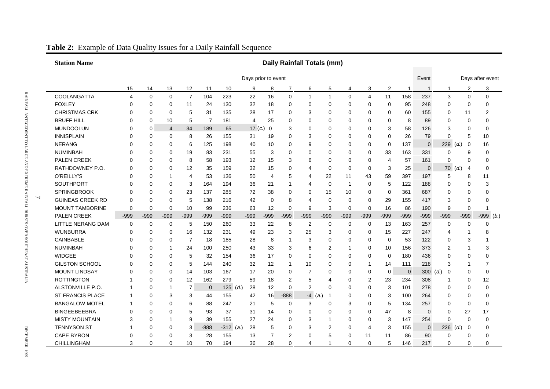|   | <b>Station Name</b>     | <b>Daily Rainfall Totals (mm)</b> |             |                |                |             |             |                |                |                |                |                |              |          |                |          |                         |                |                  |              |
|---|-------------------------|-----------------------------------|-------------|----------------|----------------|-------------|-------------|----------------|----------------|----------------|----------------|----------------|--------------|----------|----------------|----------|-------------------------|----------------|------------------|--------------|
|   |                         | Days prior to event               |             |                |                |             |             |                |                |                |                |                |              |          |                | Event    |                         |                | Days after event |              |
|   |                         | 15                                | 14          | 13             | 12             | 11          | 10          | 9              | 8              | 7              | 6              | 5              | 4            | 3        | $\overline{2}$ | -1       | $\overline{\mathbf{1}}$ | $\overline{1}$ | $\overline{2}$   | 3            |
|   | COOLANGATTA             | 4                                 | $\mathbf 0$ | $\mathbf 0$    | $\overline{7}$ | 104         | 223         | 22             | 16             | $\mathbf 0$    | 1              | $\mathbf{1}$   | $\Omega$     | 4        | 11             | 158      | 237                     | 3              | $\Omega$         | $\Omega$     |
|   | <b>FOXLEY</b>           | 0                                 | 0           | 0              | 11             | 24          | 130         | 32             | 18             | $\mathbf 0$    | $\Omega$       | 0              | $\mathbf 0$  | 0        | $\mathbf 0$    | 95       | 248                     | 0              | $\mathbf 0$      | 0            |
|   | <b>CHRISTMAS CRK</b>    | 0                                 | 0           | 0              | 5              | 31          | 135         | 28             | 17             | 0              | 3              | 0              | 0            | 0        | 0              | 60       | 155                     | 0              | 11               | 2            |
|   | <b>BRUFF HILL</b>       | $\Omega$                          | 0           | 10             | 5              | 7           | 181         | $\overline{4}$ | 25             | 0              | $\Omega$       | 0              | $\mathbf 0$  | 0        | 0              | 8        | 89                      | 0              | $\mathbf 0$      | 0            |
|   | MUNDOOLUN               | 0                                 | 0           | $\overline{4}$ | 34             | 189         | 65          | 17 $(c.)$      | $\overline{0}$ | 3              | 0              | 0              | $\mathbf 0$  | 0        | 3              | 58       | 126                     | 3              | $\mathbf 0$      | $\Omega$     |
|   | <b>INNISPLAIN</b>       | 0                                 | 0           | 0              | 8              | 26          | 155         | 31             | 19             | 0              | 3              | 0              | 0            | 0        | 0              | 26       | 79                      | 0              | 5                | 10           |
|   | <b>NERANG</b>           | 0                                 | 0           | 0              | 6              | 125         | 198         | 40             | 10             | $\mathbf 0$    | 9              | 0              | $\mathbf 0$  | 0        | $\mathbf 0$    | 137      | $\Omega$                | $229$ (d.)     | $\mathbf 0$      | 16           |
|   | <b>NUMINBAH</b>         | 0                                 | 0           | 0              | 19             | 83          | 231         | 55             | 3              | $\mathbf 0$    | 0              | 0              | 0            | 0        | 33             | 163      | 331                     | 0              | 9                | 0            |
|   | <b>PALEN CREEK</b>      | $\Omega$                          | $\Omega$    | $\Omega$       | 8              | 58          | 193         | 12             | 15             | 3              | 6              | $\Omega$       | $\mathbf 0$  | 0        | 4              | 57       | 161                     | 0              | $\Omega$         | $\Omega$     |
|   | RATHDOWNEY P.O.         | $\Omega$                          | 0           | $\Omega$       | 12             | 35          | 159         | 32             | 15             | $\mathbf 0$    | 4              | 0              | $\mathbf 0$  | 0        | 3              | 25       | $\mathbf 0$             | $70$ (d.)      | $\overline{4}$   | $\Omega$     |
|   | O'REILLY'S              | $\Omega$                          | $\Omega$    | -1             | $\overline{4}$ | 53          | 136         | 50             | $\overline{4}$ | 5              | 4              | 22             | 11           | 43       | 59             | 397      | 197                     | 5              | 8                | 11           |
|   | SOUTHPORT               | 0                                 | 0           | 0              | 3              | 164         | 194         | 36             | 21             | -1             | 4              | 0              | $\mathbf{1}$ | 0        | 5              | 122      | 188                     | 0              | $\mathbf 0$      | 3            |
|   | <b>SPRINGBROOK</b>      | $\Omega$                          | $\Omega$    | $\Omega$       | 23             | 137         | 285         | 72             | 38             | $\Omega$       | $\Omega$       | 15             | 10           | 0        | $\Omega$       | 361      | 687                     | 0              | $\Omega$         | 0            |
| 7 | <b>GUINEAS CREEK RD</b> | $\Omega$                          | $\Omega$    | $\Omega$       | 5              | 138         | 216         | 42             | $\mathbf 0$    | 8              | 4              | 0              | $\mathbf 0$  | 0        | 29             | 155      | 417                     | 3              | $\Omega$         | 0            |
|   | <b>MOUNT TAMBORINE</b>  | 0                                 | 0           | $\mathbf 0$    | 10             | 99          | 236         | 63             | 12             | $\mathbf 0$    | 9              | 3              | $\mathbf 0$  | 0        | 16             | 86       | 190                     | 9              | $\mathbf 0$      | 1            |
|   | <b>PALEN CREEK</b>      | $-999$                            | $-999$      | $-999$         | $-999$         | $-999$      | $-999$      | $-999$         | $-999$         | $-999$         | $-999$         | $-999$         | $-999$       | $-999$   | $-999$         | $-999$   | $-999$                  | $-999$         | $-999$           | $-999$ (b.)  |
|   | LITTLE NERANG DAM       | 0                                 | 0           | $\mathbf 0$    | 5              | 150         | 260         | 33             | 22             | 8              | $\overline{2}$ | 0              | $\mathbf 0$  | 0        | 13             | 163      | 257                     | 0              | $\mathbf 0$      | $\Omega$     |
|   | <b>WUNBURRA</b>         | 0                                 | 0           | $\mathbf 0$    | 16             | 132         | 231         | 49             | 23             | 3              | 25             | 3              | 0            | 0        | 15             | 227      | 247                     | 4              | -1               | 8            |
|   | <b>CAINBABLE</b>        | $\Omega$                          | 0           | $\mathbf 0$    | $\overline{7}$ | 18          | 185         | 28             | 8              | $\overline{1}$ | 3              | $\Omega$       | $\mathbf 0$  | 0        | $\mathbf 0$    | 53       | 122                     | 0              | 3                | $\mathbf{1}$ |
|   | <b>NUMINBAH</b>         | 0                                 | 0           | -1             | 24             | 100         | 250         | 43             | 33             | 3              | 6              | 2              | $\mathbf{1}$ | 0        | 10             | 156      | 373                     | 2              | -1               | 3            |
|   | <b>WIDGEE</b>           | $\Omega$                          | $\Omega$    | $\mathbf 0$    | 5              | 32          | 154         | 36             | 17             | $\Omega$       | $\Omega$       | $\Omega$       | $\Omega$     | 0        | $\mathbf 0$    | 180      | 436                     | $\Omega$       | $\Omega$         | 0            |
|   | <b>GILSTON SCHOOL</b>   | 0                                 | 0           | $\mathbf 0$    | 5              | 144         | 240         | 32             | 12             | $\mathbf{1}$   | 10             | 0              | 0            | 1        | 14             | 111      | 218                     | 3              | -1               | 7            |
|   | <b>MOUNT LINDSAY</b>    | 0                                 | $\Omega$    | $\Omega$       | 14             | 103         | 167         | 17             | 20             | 0              | 7              | 0              | 0            | 0        | 0              | $\Omega$ | 300                     | (d.)<br>0      | $\Omega$         | 0            |
|   | <b>ROTTINGTON</b>       |                                   | 0           | 0              | 12             | 162         | 279         | 59             | 18             | $\overline{2}$ | 5              | 4              | 0            | 2        | 23             | 234      | 308                     | 1              | 0                | 12           |
|   | ALSTONVILLE P.O.        |                                   | 0           | -1             | $\overline{7}$ | $\mathbf 0$ | 125 $(d.)$  | 28             | 12             | $\mathbf 0$    | 2              | 0              | $\mathbf 0$  | 0        | 3              | 101      | 278                     | 0              | 0                | 0            |
|   | <b>ST FRANCIS PLACE</b> |                                   | $\Omega$    | 3              | 3              | 44          | 155         | 42             | 16             | $-888$         | $-4$ (a.)      | $\overline{1}$ | $\mathbf 0$  | 0        | 3              | 100      | 264                     | 0              | $\Omega$         | $\Omega$     |
|   | <b>BANGALOW MOTEL</b>   |                                   | $\Omega$    | $\Omega$       | 6              | 88          | 247         | 21             | 5              | $\mathbf 0$    | 3              | 0              | 3            | 0        | 5              | 134      | 257                     | 0              | $\mathbf 0$      | 0            |
|   | <b>BINGEEBEEBRA</b>     | $\Omega$                          | $\Omega$    | $\Omega$       | 5              | 93          | 37          | 31             | 14             | $\mathbf 0$    | $\Omega$       | 0              | $\mathbf 0$  | 0        | 47             | 8        | $\Omega$                | 0              | 27               | 17           |
|   | <b>MISTY MOUNTAIN</b>   | 3                                 | 0           | -1             | 9              | 39          | 155         | 27             | 24             | $\mathbf 0$    | 3              | 1              | $\mathbf 0$  | 0        | 3              | 147      | 254                     | 0              | $\mathbf 0$      | $\Omega$     |
|   | <b>TENNYSON ST</b>      | 1                                 | 0           | $\Omega$       | 3              | $-888$      | $-312$ (a.) | 28             | 5              | $\Omega$       | 3              | 2              | $\Omega$     | 4        | 3              | 155      | $\mathbf 0$             | $226$ (d.)     | 0                | 0            |
|   | <b>CAPE BYRON</b>       | $\Omega$                          | $\Omega$    | $\Omega$       | 3              | 28          | 155         | 13             | 7              | $\overline{2}$ | $\Omega$       | 5              | $\mathbf 0$  | 11       | 11             | 86       | 90                      | 0              | $\Omega$         | 0            |
|   | CHILLINGHAM             | 3                                 | $\Omega$    | $\Omega$       | 10             | 70          | 194         | 36             | 28             | $\Omega$       | 4              | 1              | $\Omega$     | $\Omega$ | 5              | 146      | 217                     | 0              | $\Omega$         | $\Omega$     |

### **Table 2:** Example of Data Quality Issues for a Daily Rainfall Sequence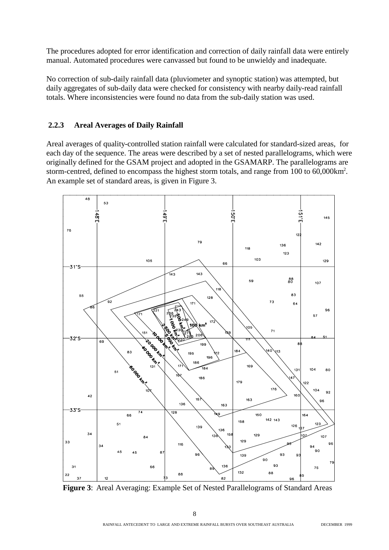The procedures adopted for error identification and correction of daily rainfall data were entirely manual. Automated procedures were canvassed but found to be unwieldy and inadequate.

No correction of sub-daily rainfall data (pluviometer and synoptic station) was attempted, but daily aggregates of sub-daily data were checked for consistency with nearby daily-read rainfall totals. Where inconsistencies were found no data from the sub-daily station was used.

#### **2.2.3 Areal Averages of Daily Rainfall**

Areal averages of quality-controlled station rainfall were calculated for standard-sized areas, for each day of the sequence. The areas were described by a set of nested parallelograms, which were originally defined for the GSAM project and adopted in the GSAMARP. The parallelograms are storm-centred, defined to encompass the highest storm totals, and range from 100 to 60,000km<sup>2</sup>. An example set of standard areas, is given in Figure 3.



**Figure 3**: Areal Averaging: Example Set of Nested Parallelograms of Standard Areas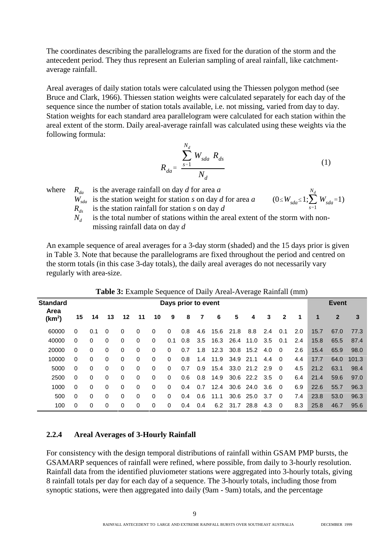The coordinates describing the parallelograms are fixed for the duration of the storm and the antecedent period. They thus represent an Eulerian sampling of areal rainfall, like catchmentaverage rainfall.

Areal averages of daily station totals were calculated using the Thiessen polygon method (see Bruce and Clark, 1966). Thiessen station weights were calculated separately for each day of the sequence since the number of station totals available, i.e. not missing, varied from day to day. Station weights for each standard area parallelogram were calculated for each station within the areal extent of the storm. Daily areal-average rainfall was calculated using these weights via the following formula:

$$
R_{da} = \frac{\sum_{s=1}^{N_d} W_{sda} R_{ds}}{N_d}
$$
 (1)

where  $R_{da}$  is the average rainfall on day d for area a

 $W_{sda}$  is the station weight for station *s* on day *d* for area *a*  $R_{ds}$  is the station rainfall for station *s* on day *d* 

$$
(0 \leq W_{sda} \leq 1; \sum_{s=1}^{N_d} W_{sda} = 1)
$$

- is the station rainfall for station *s* on day *d*
- $N_d$  is the total number of stations within the areal extent of the storm with nonmissing rainfall data on day *d*

An example sequence of areal averages for a 3-day storm (shaded) and the 15 days prior is given in Table 3. Note that because the parallelograms are fixed throughout the period and centred on the storm totals (in this case 3-day totals), the daily areal averages do not necessarily vary regularly with area-size.

|                            | <b>Table 5:</b> Example Sequence of Daily Areal-Average Ramian (min) |                     |          |          |          |             |          |     |     |                |               |                    |      |                |     |              |              |       |
|----------------------------|----------------------------------------------------------------------|---------------------|----------|----------|----------|-------------|----------|-----|-----|----------------|---------------|--------------------|------|----------------|-----|--------------|--------------|-------|
| <b>Standard</b>            |                                                                      | Days prior to event |          |          |          |             |          |     |     |                |               |                    |      |                |     | <b>Event</b> |              |       |
| Area<br>(km <sup>2</sup> ) | 15                                                                   | 14                  | 13       | 12       | 11       | 10          | 9        | 8   | 7   | 6              | 5             | 4                  | 3    | $\mathbf{2}$   | 1   | 1            | $\mathbf{2}$ | 3     |
| 60000                      | $\Omega$                                                             | 0.1                 | $\Omega$ | 0        | $\Omega$ | $\Omega$    | $\Omega$ | 0.8 | 4.6 | 15.6           | 21.8          | 8.8                | 2.4  | 0.1            | 2.0 | 15.7         | 67.0         | 77.3  |
| 40000                      | 0                                                                    | $\Omega$            | $\Omega$ | 0        | $\Omega$ | $\Omega$    | 0.1      | 0.8 | 3.5 |                |               | 16.3 26.4 11.0     | 3.5  | 0.1            | 2.4 | 15.8         | 65.5         | 87.4  |
| 20000                      | $\Omega$                                                             | 0                   | $\Omega$ | $\Omega$ | 0        | $\Omega$    | $\Omega$ | 0.7 | 1.8 |                |               | 12.3 30.8 15.2 4.0 |      | - 0            | 2.6 | 15.4         | 65.9         | 98.0  |
| 10000                      | 0                                                                    | 0                   | $\Omega$ | 0        | $\Omega$ | $\Omega$    | $\Omega$ | 0.8 | 1.4 | 11.9 34.9 21.1 |               |                    | 4.4  | - 0            | 4.4 | 17.7         | 64.0         | 101.3 |
| 5000                       | $\Omega$                                                             | 0                   | $\Omega$ | 0        | $\Omega$ | $\mathbf 0$ | $\Omega$ | 0.7 | 0.9 | 15.4           |               | 33.0 21.2 2.9      |      | $\overline{0}$ | 4.5 | 21.2         | 63.1         | 98.4  |
| 2500                       | $\Omega$                                                             | 0                   | $\Omega$ | 0        | $\Omega$ | $\Omega$    | $\Omega$ | 0.6 | 0.8 | 14.9           |               | 30.6 22.2 3.5      |      | $\overline{0}$ | 6.4 | 21.4         | 59.6         | 97.0  |
| 1000                       | $\Omega$                                                             | $\Omega$            | $\Omega$ | $\Omega$ | 0        | $\Omega$    | $\Omega$ | 0.4 | 0.7 | 12.4           |               | 30.6 24.0          | 3.6  | $\Omega$       | 6.9 | 22.6         | 55.7         | 96.3  |
| 500                        | 0                                                                    | 0                   | $\Omega$ | $\Omega$ | $\Omega$ | $\Omega$    | $\Omega$ | 0.4 | 0.6 | 11.1           |               | 30.6 25.0          | -3.7 | $\Omega$       | 7.4 | 23.8         | 53.0         | 96.3  |
| 100                        | $\Omega$                                                             | 0                   | $\Omega$ | 0        | $\Omega$ | 0           | $\Omega$ | 0.4 | 0.4 |                | 6.2 31.7 28.8 |                    | 4.3  | 0              | 8.3 | 25.8         | 46.7         | 95.6  |

**Table 3:** Example Sequence of Daily Areal-Average Rainfall (mm)

#### **2.2.4 Areal Averages of 3-Hourly Rainfall**

For consistency with the design temporal distributions of rainfall within GSAM PMP bursts, the GSAMARP sequences of rainfall were refined, where possible, from daily to 3-hourly resolution. Rainfall data from the identified pluviometer stations were aggregated into 3-hourly totals, giving 8 rainfall totals per day for each day of a sequence. The 3-hourly totals, including those from synoptic stations, were then aggregated into daily (9am - 9am) totals, and the percentage

 $\overline{Q}$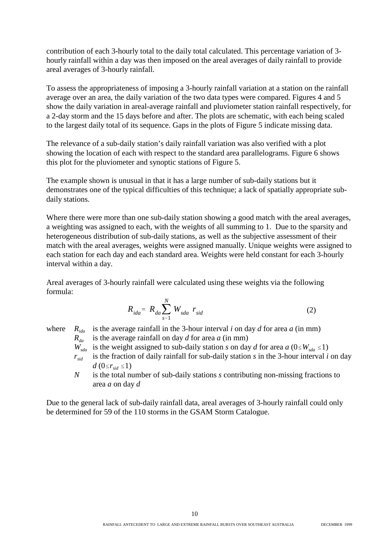contribution of each 3-hourly total to the daily total calculated. This percentage variation of 3 hourly rainfall within a day was then imposed on the areal averages of daily rainfall to provide areal averages of 3-hourly rainfall.

To assess the appropriateness of imposing a 3-hourly rainfall variation at a station on the rainfall average over an area, the daily variation of the two data types were compared. Figures 4 and 5 show the daily variation in areal-average rainfall and pluviometer station rainfall respectively, for a 2-day storm and the 15 days before and after. The plots are schematic, with each being scaled to the largest daily total of its sequence. Gaps in the plots of Figure 5 indicate missing data.

The relevance of a sub-daily station's daily rainfall variation was also verified with a plot showing the location of each with respect to the standard area parallelograms. Figure 6 shows this plot for the pluviometer and synoptic stations of Figure 5.

The example shown is unusual in that it has a large number of sub-daily stations but it demonstrates one of the typical difficulties of this technique; a lack of spatially appropriate subdaily stations.

Where there were more than one sub-daily station showing a good match with the areal averages, a weighting was assigned to each, with the weights of all summing to 1. Due to the sparsity and heterogeneous distribution of sub-daily stations, as well as the subjective assessment of their match with the areal averages, weights were assigned manually. Unique weights were assigned to each station for each day and each standard area. Weights were held constant for each 3-hourly interval within a day.

Areal averages of 3-hourly rainfall were calculated using these weights via the following formula:

$$
R_{ida} = R_{da} \sum_{s=1}^{N} W_{sda} r_{sid}
$$
 (2)

where  $R_{i,d}$  is the average rainfall in the 3-hour interval *i* on day *d* for area *a* (in mm)

 $R_{da}$  is the average rainfall on day *d* for area *a* (in mm)

- $W_{sda}$  is the weight assigned to sub-daily station *s* on day *d* for area *a* ( $0 \leq W_{sda} \leq 1$ )
- $r_{\text{sid}}$  is the fraction of daily rainfall for sub-daily station *s* in the 3-hour interval *i* on day  $d$  (0  $\leq r_{sid} \leq 1$ )
- *N* is the total number of sub-daily stations *s* contributing non-missing fractions to area *a* on day *d*

Due to the general lack of sub-daily rainfall data, areal averages of 3-hourly rainfall could only be determined for 59 of the 110 storms in the GSAM Storm Catalogue.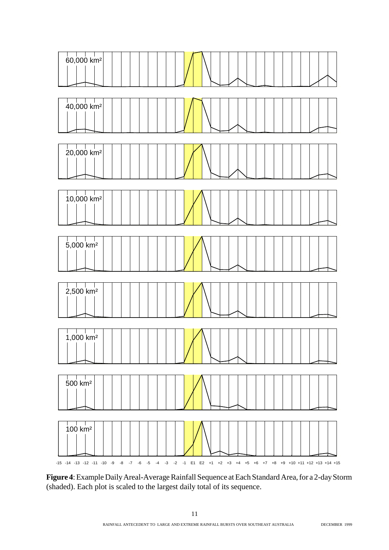

**Figure 4**: Example Daily Areal-Average Rainfall Sequence at Each Standard Area, for a 2-day Storm (shaded). Each plot is scaled to the largest daily total of its sequence.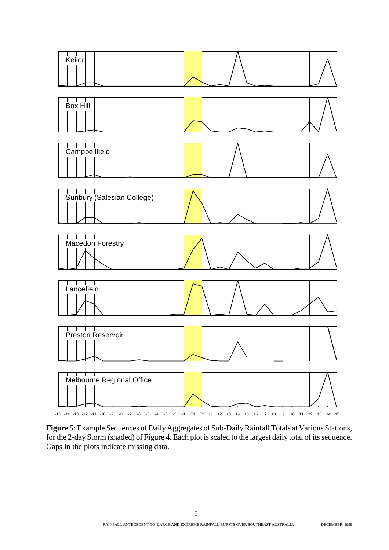

**Figure 5**: Example Sequences of Daily Aggregates of Sub-Daily Rainfall Totals at Various Stations, for the 2-day Storm (shaded) of Figure 4. Each plot is scaled to the largest daily total of its sequence. Gaps in the plots indicate missing data.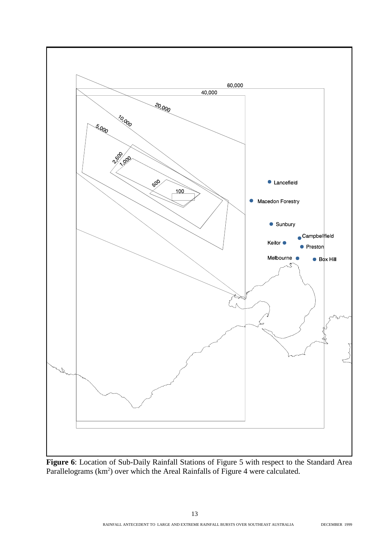

**Figure 6**: Location of Sub-Daily Rainfall Stations of Figure 5 with respect to the Standard Area Parallelograms  $(km^2)$  over which the Areal Rainfalls of Figure 4 were calculated.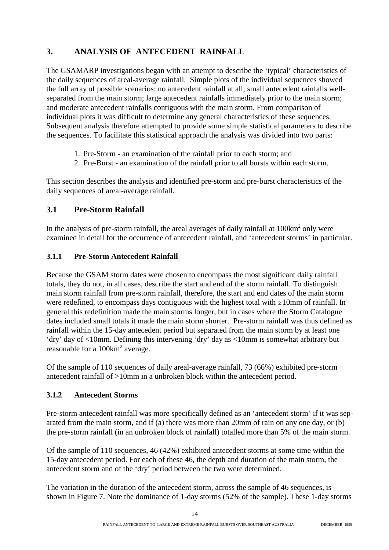### **3. ANALYSIS OF ANTECEDENT RAINFALL**

The GSAMARP investigations began with an attempt to describe the 'typical' characteristics of the daily sequences of areal-average rainfall. Simple plots of the individual sequences showed the full array of possible scenarios: no antecedent rainfall at all; small antecedent rainfalls wellseparated from the main storm; large antecedent rainfalls immediately prior to the main storm; and moderate antecedent rainfalls contiguous with the main storm. From comparison of individual plots it was difficult to determine any general characteristics of these sequences. Subsequent analysis therefore attempted to provide some simple statistical parameters to describe the sequences. To facilitate this statistical approach the analysis was divided into two parts:

- 1. Pre-Storm an examination of the rainfall prior to each storm; and
- 2. Pre-Burst an examination of the rainfall prior to all bursts within each storm.

This section describes the analysis and identified pre-storm and pre-burst characteristics of the daily sequences of areal-average rainfall.

#### **3.1 Pre-Storm Rainfall**

In the analysis of pre-storm rainfall, the areal averages of daily rainfall at 100km<sup>2</sup> only were examined in detail for the occurrence of antecedent rainfall, and 'antecedent storms' in particular.

#### **3.1.1 Pre-Storm Antecedent Rainfall**

Because the GSAM storm dates were chosen to encompass the most significant daily rainfall totals, they do not, in all cases, describe the start and end of the storm rainfall. To distinguish main storm rainfall from pre-storm rainfall, therefore, the start and end dates of the main storm were redefined, to encompass days contiguous with the highest total with  $\geq 10$ mm of rainfall. In general this redefinition made the main storms longer, but in cases where the Storm Catalogue dates included small totals it made the main storm shorter. Pre-storm rainfall was thus defined as rainfall within the 15-day antecedent period but separated from the main storm by at least one 'dry' day of <10mm. Defining this intervening 'dry' day as <10mm is somewhat arbitrary but reasonable for a 100km<sup>2</sup> average.

Of the sample of 110 sequences of daily areal-average rainfall, 73 (66%) exhibited pre-storm antecedent rainfall of >10mm in a unbroken block within the antecedent period.

#### **3.1.2 Antecedent Storms**

Pre-storm antecedent rainfall was more specifically defined as an 'antecedent storm' if it was separated from the main storm, and if (a) there was more than 20mm of rain on any one day, or (b) the pre-storm rainfall (in an unbroken block of rainfall) totalled more than 5% of the main storm.

Of the sample of 110 sequences, 46 (42%) exhibited antecedent storms at some time within the 15-day antecedent period. For each of these 46, the depth and duration of the main storm, the antecedent storm and of the 'dry' period between the two were determined.

The variation in the duration of the antecedent storm, across the sample of 46 sequences, is shown in Figure 7. Note the dominance of 1-day storms (52% of the sample). These 1-day storms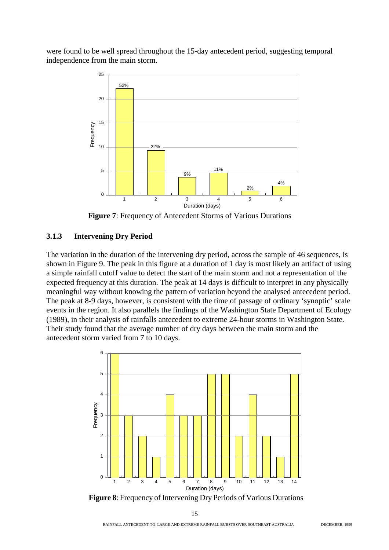were found to be well spread throughout the 15-day antecedent period, suggesting temporal independence from the main storm.



**Figure 7**: Frequency of Antecedent Storms of Various Durations

#### **3.1.3 Intervening Dry Period**

The variation in the duration of the intervening dry period, across the sample of 46 sequences, is shown in Figure 9. The peak in this figure at a duration of 1 day is most likely an artifact of using a simple rainfall cutoff value to detect the start of the main storm and not a representation of the expected frequency at this duration. The peak at 14 days is difficult to interpret in any physically meaningful way without knowing the pattern of variation beyond the analysed antecedent period. The peak at 8-9 days, however, is consistent with the time of passage of ordinary 'synoptic' scale events in the region. It also parallels the findings of the Washington State Department of Ecology (1989), in their analysis of rainfalls antecedent to extreme 24-hour storms in Washington State. Their study found that the average number of dry days between the main storm and the antecedent storm varied from 7 to 10 days.



**Figure 8**: Frequency of Intervening Dry Periods of Various Durations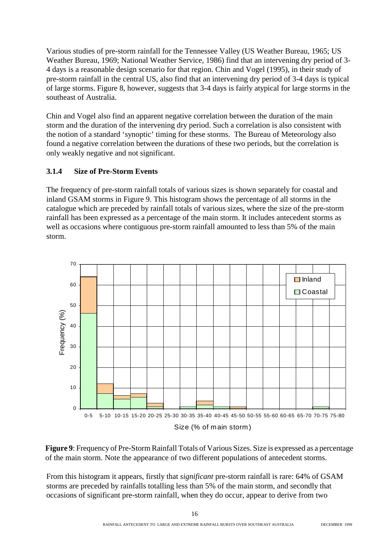Various studies of pre-storm rainfall for the Tennessee Valley (US Weather Bureau, 1965; US Weather Bureau, 1969; National Weather Service, 1986) find that an intervening dry period of 3- 4 days is a reasonable design scenario for that region. Chin and Vogel (1995), in their study of pre-storm rainfall in the central US, also find that an intervening dry period of 3-4 days is typical of large storms. Figure 8, however, suggests that 3-4 days is fairly atypical for large storms in the southeast of Australia.

Chin and Vogel also find an apparent negative correlation between the duration of the main storm and the duration of the intervening dry period. Such a correlation is also consistent with the notion of a standard 'synoptic' timing for these storms. The Bureau of Meteorology also found a negative correlation between the durations of these two periods, but the correlation is only weakly negative and not significant.

#### **3.1.4 Size of Pre-Storm Events**

The frequency of pre-storm rainfall totals of various sizes is shown separately for coastal and inland GSAM storms in Figure 9. This histogram shows the percentage of all storms in the catalogue which are preceded by rainfall totals of various sizes, where the size of the pre-storm rainfall has been expressed as a percentage of the main storm. It includes antecedent storms as well as occasions where contiguous pre-storm rainfall amounted to less than 5% of the main storm.



**Figure 9**: Frequency of Pre-Storm Rainfall Totals of Various Sizes. Size is expressed as a percentage of the main storm. Note the appearance of two different populations of antecedent storms.

From this histogram it appears, firstly that *significant* pre-storm rainfall is rare: 64% of GSAM storms are preceded by rainfalls totalling less than 5% of the main storm, and secondly that occasions of significant pre-storm rainfall, when they do occur, appear to derive from two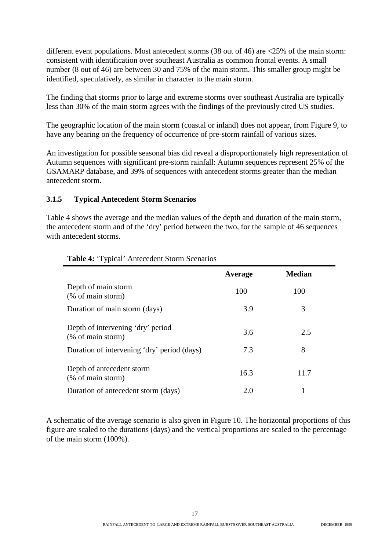different event populations. Most antecedent storms (38 out of 46) are <25% of the main storm: consistent with identification over southeast Australia as common frontal events. A small number (8 out of 46) are between 30 and 75% of the main storm. This smaller group might be identified, speculatively, as similar in character to the main storm.

The finding that storms prior to large and extreme storms over southeast Australia are typically less than 30% of the main storm agrees with the findings of the previously cited US studies.

The geographic location of the main storm (coastal or inland) does not appear, from Figure 9, to have any bearing on the frequency of occurrence of pre-storm rainfall of various sizes.

An investigation for possible seasonal bias did reveal a disproportionately high representation of Autumn sequences with significant pre-storm rainfall: Autumn sequences represent 25% of the GSAMARP database, and 39% of sequences with antecedent storms greater than the median antecedent storm.

#### **3.1.5 Typical Antecedent Storm Scenarios**

Table 4 shows the average and the median values of the depth and duration of the main storm, the antecedent storm and of the 'dry' period between the two, for the sample of 46 sequences with antecedent storms.

|                                                        | Average | <b>Median</b> |
|--------------------------------------------------------|---------|---------------|
| Depth of main storm<br>(% of main storm)               | 100     | 100           |
| Duration of main storm (days)                          | 3.9     | 3             |
| Depth of intervening 'dry' period<br>(% of main storm) | 3.6     | 2.5           |
| Duration of intervening 'dry' period (days)            | 7.3     | 8             |
| Depth of antecedent storm<br>(% of main storm)         | 16.3    | 11.7          |
| Duration of antecedent storm (days)                    | 2.0     |               |

#### **Table 4:** 'Typical' Antecedent Storm Scenarios

A schematic of the average scenario is also given in Figure 10. The horizontal proportions of this figure are scaled to the durations (days) and the vertical proportions are scaled to the percentage of the main storm (100%).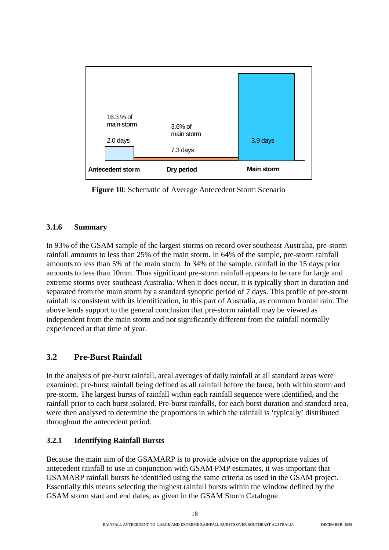

**Figure 10:** Schematic of Average Antecedent Storm Scenario

#### **3.1.6 Summary**

In 93% of the GSAM sample of the largest storms on record over southeast Australia, pre-storm rainfall amounts to less than 25% of the main storm. In 64% of the sample, pre-storm rainfall amounts to less than 5% of the main storm. In 34% of the sample, rainfall in the 15 days prior amounts to less than 10mm. Thus significant pre-storm rainfall appears to be rare for large and extreme storms over southeast Australia. When it does occur, it is typically short in duration and separated from the main storm by a standard synoptic period of 7 days. This profile of pre-storm rainfall is consistent with its identification, in this part of Australia, as common frontal rain. The above lends support to the general conclusion that pre-storm rainfall may be viewed as independent from the main storm and not significantly different from the rainfall normally experienced at that time of year.

### **3.2 Pre-Burst Rainfall**

In the analysis of pre-burst rainfall, areal averages of daily rainfall at all standard areas were examined; pre-burst rainfall being defined as all rainfall before the burst, both within storm and pre-storm. The largest bursts of rainfall within each rainfall sequence were identified, and the rainfall prior to each burst isolated. Pre-burst rainfalls, for each burst duration and standard area, were then analysed to determine the proportions in which the rainfall is 'typically' distributed throughout the antecedent period.

#### **3.2.1 Identifying Rainfall Bursts**

Because the main aim of the GSAMARP is to provide advice on the appropriate values of antecedent rainfall to use in conjunction with GSAM PMP estimates, it was important that GSAMARP rainfall bursts be identified using the same criteria as used in the GSAM project. Essentially this means selecting the highest rainfall bursts within the window defined by the GSAM storm start and end dates, as given in the GSAM Storm Catalogue.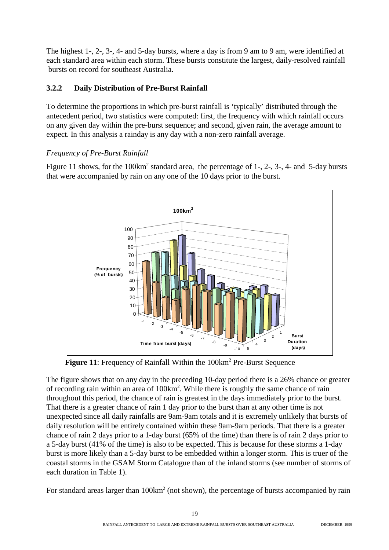The highest 1-, 2-, 3-, 4- and 5-day bursts, where a day is from 9 am to 9 am, were identified at each standard area within each storm. These bursts constitute the largest, daily-resolved rainfall bursts on record for southeast Australia.

#### **3.2.2 Daily Distribution of Pre-Burst Rainfall**

To determine the proportions in which pre-burst rainfall is 'typically' distributed through the antecedent period, two statistics were computed: first, the frequency with which rainfall occurs on any given day within the pre-burst sequence; and second, given rain, the average amount to expect. In this analysis a rainday is any day with a non-zero rainfall average.

#### *Frequency of Pre-Burst Rainfall*

Figure 11 shows, for the 100km<sup>2</sup> standard area, the percentage of 1-, 2-, 3-, 4- and 5-day bursts that were accompanied by rain on any one of the 10 days prior to the burst.



Figure 11: Frequency of Rainfall Within the 100km<sup>2</sup> Pre-Burst Sequence

The figure shows that on any day in the preceding 10-day period there is a 26% chance or greater of recording rain within an area of 100km<sup>2</sup>. While there is roughly the same chance of rain throughout this period, the chance of rain is greatest in the days immediately prior to the burst. That there is a greater chance of rain 1 day prior to the burst than at any other time is not unexpected since all daily rainfalls are 9am-9am totals and it is extremely unlikely that bursts of daily resolution will be entirely contained within these 9am-9am periods. That there is a greater chance of rain 2 days prior to a 1-day burst (65% of the time) than there is of rain 2 days prior to a 5-day burst (41% of the time) is also to be expected. This is because for these storms a 1-day burst is more likely than a 5-day burst to be embedded within a longer storm. This is truer of the coastal storms in the GSAM Storm Catalogue than of the inland storms (see number of storms of each duration in Table 1).

For standard areas larger than  $100 \text{km}^2$  (not shown), the percentage of bursts accompanied by rain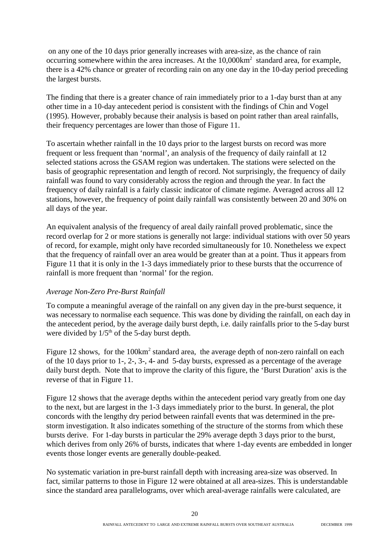on any one of the 10 days prior generally increases with area-size, as the chance of rain occurring somewhere within the area increases. At the  $10,000 \text{km}^2$  standard area, for example, there is a 42% chance or greater of recording rain on any one day in the 10-day period preceding the largest bursts.

The finding that there is a greater chance of rain immediately prior to a 1-day burst than at any other time in a 10-day antecedent period is consistent with the findings of Chin and Vogel (1995). However, probably because their analysis is based on point rather than areal rainfalls, their frequency percentages are lower than those of Figure 11.

To ascertain whether rainfall in the 10 days prior to the largest bursts on record was more frequent or less frequent than 'normal', an analysis of the frequency of daily rainfall at 12 selected stations across the GSAM region was undertaken. The stations were selected on the basis of geographic representation and length of record. Not surprisingly, the frequency of daily rainfall was found to vary considerably across the region and through the year. In fact the frequency of daily rainfall is a fairly classic indicator of climate regime. Averaged across all 12 stations, however, the frequency of point daily rainfall was consistently between 20 and 30% on all days of the year.

An equivalent analysis of the frequency of areal daily rainfall proved problematic, since the record overlap for 2 or more stations is generally not large: individual stations with over 50 years of record, for example, might only have recorded simultaneously for 10. Nonetheless we expect that the frequency of rainfall over an area would be greater than at a point. Thus it appears from Figure 11 that it is only in the 1-3 days immediately prior to these bursts that the occurrence of rainfall is more frequent than 'normal' for the region.

#### *Average Non-Zero Pre-Burst Rainfall*

To compute a meaningful average of the rainfall on any given day in the pre-burst sequence, it was necessary to normalise each sequence. This was done by dividing the rainfall, on each day in the antecedent period, by the average daily burst depth, i.e. daily rainfalls prior to the 5-day burst were divided by  $1/5<sup>th</sup>$  of the 5-day burst depth.

Figure 12 shows, for the 100km<sup>2</sup> standard area, the average depth of non-zero rainfall on each of the 10 days prior to 1-, 2-, 3-, 4- and 5-day bursts, expressed as a percentage of the average daily burst depth. Note that to improve the clarity of this figure, the 'Burst Duration' axis is the reverse of that in Figure 11.

Figure 12 shows that the average depths within the antecedent period vary greatly from one day to the next, but are largest in the 1-3 days immediately prior to the burst. In general, the plot concords with the lengthy dry period between rainfall events that was determined in the prestorm investigation. It also indicates something of the structure of the storms from which these bursts derive. For 1-day bursts in particular the 29% average depth 3 days prior to the burst, which derives from only 26% of bursts, indicates that where 1-day events are embedded in longer events those longer events are generally double-peaked.

No systematic variation in pre-burst rainfall depth with increasing area-size was observed. In fact, similar patterns to those in Figure 12 were obtained at all area-sizes. This is understandable since the standard area parallelograms, over which areal-average rainfalls were calculated, are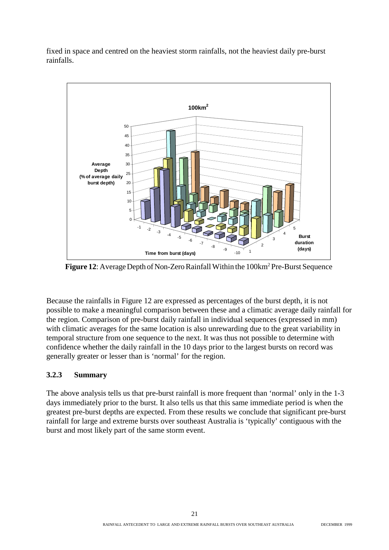fixed in space and centred on the heaviest storm rainfalls, not the heaviest daily pre-burst rainfalls.



Figure 12: Average Depth of Non-Zero Rainfall Within the 100km<sup>2</sup> Pre-Burst Sequence

Because the rainfalls in Figure 12 are expressed as percentages of the burst depth, it is not possible to make a meaningful comparison between these and a climatic average daily rainfall for the region. Comparison of pre-burst daily rainfall in individual sequences (expressed in mm) with climatic averages for the same location is also unrewarding due to the great variability in temporal structure from one sequence to the next. It was thus not possible to determine with confidence whether the daily rainfall in the 10 days prior to the largest bursts on record was generally greater or lesser than is 'normal' for the region.

#### **3.2.3 Summary**

The above analysis tells us that pre-burst rainfall is more frequent than 'normal' only in the 1-3 days immediately prior to the burst. It also tells us that this same immediate period is when the greatest pre-burst depths are expected. From these results we conclude that significant pre-burst rainfall for large and extreme bursts over southeast Australia is 'typically' contiguous with the burst and most likely part of the same storm event.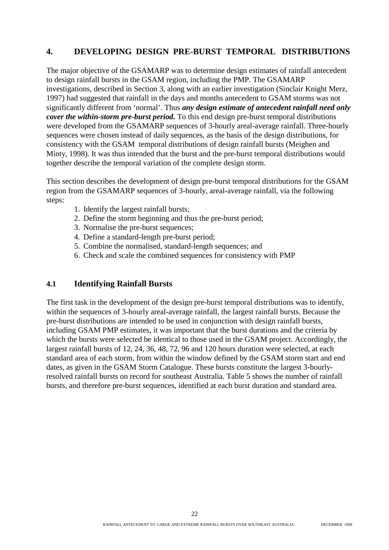#### **4. DEVELOPING DESIGN PRE-BURST TEMPORAL DISTRIBUTIONS**

The major objective of the GSAMARP was to determine design estimates of rainfall antecedent to design rainfall bursts in the GSAM region, including the PMP. The GSAMARP investigations, described in Section 3, along with an earlier investigation (Sinclair Knight Merz, 1997) had suggested that rainfall in the days and months antecedent to GSAM storms was not significantly different from 'normal'. Thus *any design estimate of antecedent rainfall need only cover the within-storm pre-burst period.* To this end design pre-burst temporal distributions were developed from the GSAMARP sequences of 3-hourly areal-average rainfall. Three-hourly sequences were chosen instead of daily sequences, as the basis of the design distributions, for consistency with the GSAM temporal distributions of design rainfall bursts (Meighen and Minty, 1998). It was thus intended that the burst and the pre-burst temporal distributions would together describe the temporal variation of the complete design storm.

This section describes the development of design pre-burst temporal distributions for the GSAM region from the GSAMARP sequences of 3-hourly, areal-average rainfall, via the following steps:

- 1. Identify the largest rainfall bursts;
- 2. Define the storm beginning and thus the pre-burst period;
- 3. Normalise the pre-burst sequences;
- 4. Define a standard-length pre-burst period;
- 5. Combine the normalised, standard-length sequences; and
- 6. Check and scale the combined sequences for consistency with PMP

#### **4.1 Identifying Rainfall Bursts**

The first task in the development of the design pre-burst temporal distributions was to identify, within the sequences of 3-hourly areal-average rainfall, the largest rainfall bursts. Because the pre-burst distributions are intended to be used in conjunction with design rainfall bursts, including GSAM PMP estimates, it was important that the burst durations and the criteria by which the bursts were selected be identical to those used in the GSAM project. Accordingly, the largest rainfall bursts of 12, 24, 36, 48, 72, 96 and 120 hours duration were selected, at each standard area of each storm, from within the window defined by the GSAM storm start and end dates, as given in the GSAM Storm Catalogue. These bursts constitute the largest 3-hourlyresolved rainfall bursts on record for southeast Australia. Table 5 shows the number of rainfall bursts, and therefore pre-burst sequences, identified at each burst duration and standard area.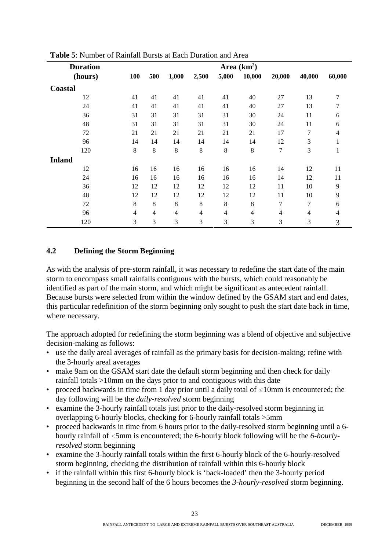| <b>Duration</b> |                | Area $(km^2)$  |                |                |                |                |                |        |                |  |  |  |  |
|-----------------|----------------|----------------|----------------|----------------|----------------|----------------|----------------|--------|----------------|--|--|--|--|
| (hours)         | <b>100</b>     | 500            | 1,000          | 2,500          | 5,000          | 10,000         | 20,000         | 40,000 | 60,000         |  |  |  |  |
| <b>Coastal</b>  |                |                |                |                |                |                |                |        |                |  |  |  |  |
| 12              | 41             | 41             | 41             | 41             | 41             | 40             | 27             | 13     | 7              |  |  |  |  |
| 24              | 41             | 41             | 41             | 41             | 41             | 40             | 27             | 13     | 7              |  |  |  |  |
| 36              | 31             | 31             | 31             | 31             | 31             | 30             | 24             | 11     | 6              |  |  |  |  |
| 48              | 31             | 31             | 31             | 31             | 31             | 30             | 24             | 11     | 6              |  |  |  |  |
| 72              | 21             | 21             | 21             | 21             | 21             | 21             | 17             | 7      | 4              |  |  |  |  |
| 96              | 14             | 14             | 14             | 14             | 14             | 14             | 12             | 3      |                |  |  |  |  |
| 120             | 8              | 8              | 8              | 8              | 8              | 8              | 7              | 3      | $\mathbf{I}$   |  |  |  |  |
| <b>Inland</b>   |                |                |                |                |                |                |                |        |                |  |  |  |  |
| 12              | 16             | 16             | 16             | 16             | 16             | 16             | 14             | 12     | 11             |  |  |  |  |
| 24              | 16             | 16             | 16             | 16             | 16             | 16             | 14             | 12     | 11             |  |  |  |  |
| 36              | 12             | 12             | 12             | 12             | 12             | 12             | 11             | 10     | 9              |  |  |  |  |
| 48              | 12             | 12             | 12             | 12             | 12             | 12             | 11             | 10     | 9              |  |  |  |  |
| 72              | 8              | 8              | 8              | 8              | 8              | $8\,$          | 7              | 7      | 6              |  |  |  |  |
| 96              | $\overline{4}$ | $\overline{4}$ | $\overline{4}$ | $\overline{4}$ | $\overline{4}$ | $\overline{4}$ | $\overline{4}$ | 4      | $\overline{4}$ |  |  |  |  |
| 120             | 3              | 3              | 3              | 3              | 3              | 3              | 3              | 3      | 3              |  |  |  |  |

**Table 5**: Number of Rainfall Bursts at Each Duration and Area

#### **4.2 Defining the Storm Beginning**

As with the analysis of pre-storm rainfall, it was necessary to redefine the start date of the main storm to encompass small rainfalls contiguous with the bursts, which could reasonably be identified as part of the main storm, and which might be significant as antecedent rainfall. Because bursts were selected from within the window defined by the GSAM start and end dates, this particular redefinition of the storm beginning only sought to push the start date back in time, where necessary.

The approach adopted for redefining the storm beginning was a blend of objective and subjective decision-making as follows:

- use the daily areal averages of rainfall as the primary basis for decision-making; refine with the 3-hourly areal averages
- make 9am on the GSAM start date the default storm beginning and then check for daily rainfall totals >10mm on the days prior to and contiguous with this date
- proceed backwards in time from 1 day prior until a daily total of  $\leq 10$ mm is encountered; the day following will be the *daily-resolved* storm beginning
- examine the 3-hourly rainfall totals just prior to the daily-resolved storm beginning in overlapping 6-hourly blocks, checking for 6-hourly rainfall totals >5mm
- proceed backwards in time from 6 hours prior to the daily-resolved storm beginning until a 6 hourly rainfall of #5mm is encountered; the 6-hourly block following will be the *6-hourlyresolved* storm beginning
- examine the 3-hourly rainfall totals within the first 6-hourly block of the 6-hourly-resolved storm beginning, checking the distribution of rainfall within this 6-hourly block
- if the rainfall within this first 6-hourly block is 'back-loaded' then the 3-hourly period beginning in the second half of the 6 hours becomes the *3-hourly-resolved* storm beginning.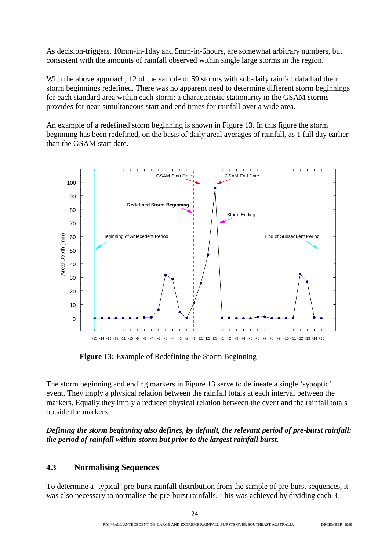As decision-triggers, 10mm-in-1day and 5mm-in-6hours, are somewhat arbitrary numbers, but consistent with the amounts of rainfall observed within single large storms in the region.

With the above approach, 12 of the sample of 59 storms with sub-daily rainfall data had their storm beginnings redefined. There was no apparent need to determine different storm beginnings for each standard area within each storm: a characteristic stationarity in the GSAM storms provides for near-simultaneous start and end times for rainfall over a wide area.

An example of a redefined storm beginning is shown in Figure 13. In this figure the storm beginning has been redefined, on the basis of daily areal averages of rainfall, as 1 full day earlier than the GSAM start date.



**Figure 13:** Example of Redefining the Storm Beginning

The storm beginning and ending markers in Figure 13 serve to delineate a single 'synoptic' event. They imply a physical relation between the rainfall totals at each interval between the markers. Equally they imply a reduced physical relation between the event and the rainfall totals outside the markers.

#### *Defining the storm beginning also defines, by default, the relevant period of pre-burst rainfall: the period of rainfall within-storm but prior to the largest rainfall burst.*

#### **4.3 Normalising Sequences**

To determine a 'typical' pre-burst rainfall distribution from the sample of pre-burst sequences, it was also necessary to normalise the pre-burst rainfalls. This was achieved by dividing each 3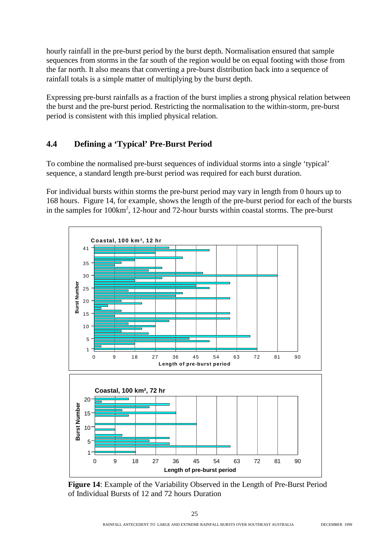hourly rainfall in the pre-burst period by the burst depth. Normalisation ensured that sample sequences from storms in the far south of the region would be on equal footing with those from the far north. It also means that converting a pre-burst distribution back into a sequence of rainfall totals is a simple matter of multiplying by the burst depth.

Expressing pre-burst rainfalls as a fraction of the burst implies a strong physical relation between the burst and the pre-burst period. Restricting the normalisation to the within-storm, pre-burst period is consistent with this implied physical relation.

#### **4.4 Defining a 'Typical' Pre-Burst Period**

To combine the normalised pre-burst sequences of individual storms into a single 'typical' sequence, a standard length pre-burst period was required for each burst duration.

For individual bursts within storms the pre-burst period may vary in length from 0 hours up to 168 hours. Figure 14, for example, shows the length of the pre-burst period for each of the bursts in the samples for 100km<sup>2</sup>, 12-hour and 72-hour bursts within coastal storms. The pre-burst



**Figure 14**: Example of the Variability Observed in the Length of Pre-Burst Period of Individual Bursts of 12 and 72 hours Duration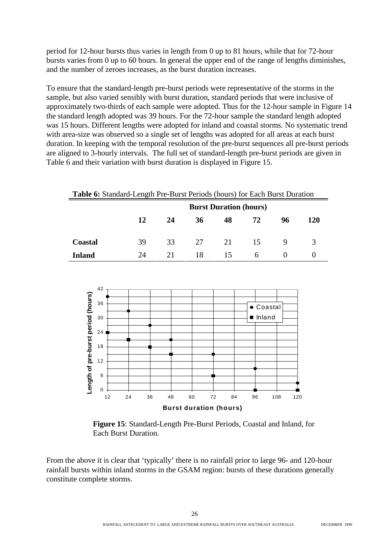period for 12-hour bursts thus varies in length from 0 up to 81 hours, while that for 72-hour bursts varies from 0 up to 60 hours. In general the upper end of the range of lengths diminishes, and the number of zeroes increases, as the burst duration increases.

To ensure that the standard-length pre-burst periods were representative of the storms in the sample, but also varied sensibly with burst duration, standard periods that were inclusive of approximately two-thirds of each sample were adopted. Thus for the 12-hour sample in Figure 14 the standard length adopted was 39 hours. For the 72-hour sample the standard length adopted was 15 hours. Different lengths were adopted for inland and coastal storms. No systematic trend with area-size was observed so a single set of lengths was adopted for all areas at each burst duration. In keeping with the temporal resolution of the pre-burst sequences all pre-burst periods are aligned to 3-hourly intervals. The full set of standard-length pre-burst periods are given in Table 6 and their variation with burst duration is displayed in Figure 15.

| Table 6: Standard-Length Pre-Burst Periods (hours) for Each Burst Duration |    |    |    |                               |    |    |     |  |  |  |  |  |  |
|----------------------------------------------------------------------------|----|----|----|-------------------------------|----|----|-----|--|--|--|--|--|--|
|                                                                            |    |    |    | <b>Burst Duration (hours)</b> |    |    |     |  |  |  |  |  |  |
|                                                                            | 12 | 24 | 36 | 48                            | 72 | 96 | 120 |  |  |  |  |  |  |
| <b>Coastal</b>                                                             | 39 | 33 | 27 | 21                            | 15 |    |     |  |  |  |  |  |  |
| Inland                                                                     | 24 | 21 | 18 | 15                            | 6  |    |     |  |  |  |  |  |  |



**Figure 15**: Standard-Length Pre-Burst Periods, Coastal and Inland, for Each Burst Duration.

From the above it is clear that 'typically' there is no rainfall prior to large 96- and 120-hour rainfall bursts within inland storms in the GSAM region: bursts of these durations generally constitute complete storms.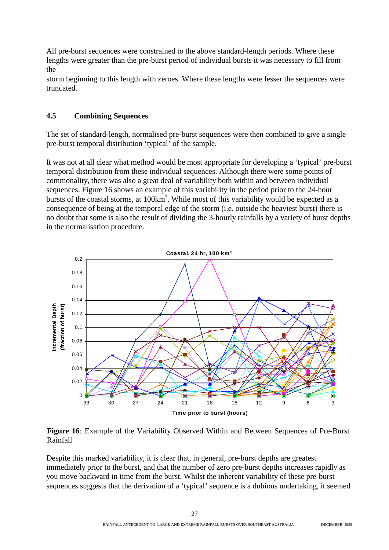All pre-burst sequences were constrained to the above standard-length periods. Where these lengths were greater than the pre-burst period of individual bursts it was necessary to fill from the

storm beginning to this length with zeroes. Where these lengths were lesser the sequences were truncated.

#### **4.5 Combining Sequences**

The set of standard-length, normalised pre-burst sequences were then combined to give a single pre-burst temporal distribution 'typical' of the sample.

It was not at all clear what method would be most appropriate for developing a 'typical' pre-burst temporal distribution from these individual sequences. Although there were some points of commonality, there was also a great deal of variability both within and between individual sequences. Figure 16 shows an example of this variability in the period prior to the 24-hour bursts of the coastal storms, at 100km<sup>2</sup>. While most of this variability would be expected as a consequence of being at the temporal edge of the storm (i.e. outside the heaviest burst) there is no doubt that some is also the result of dividing the 3-hourly rainfalls by a variety of burst depths in the normalisation procedure.



**Figure 16**: Example of the Variability Observed Within and Between Sequences of Pre-Burst Rainfall

Despite this marked variability, it is clear that, in general, pre-burst depths are greatest immediately prior to the burst, and that the number of zero pre-burst depths increases rapidly as you move backward in time from the burst. Whilst the inherent variability of these pre-burst sequences suggests that the derivation of a 'typical' sequence is a dubious undertaking, it seemed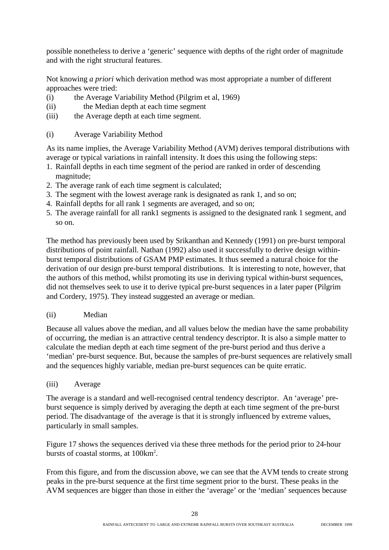possible nonetheless to derive a 'generic' sequence with depths of the right order of magnitude and with the right structural features.

Not knowing *a priori* which derivation method was most appropriate a number of different approaches were tried:

- (i) the Average Variability Method (Pilgrim et al, 1969)
- (ii) the Median depth at each time segment
- (iii) the Average depth at each time segment.
- (i) Average Variability Method

As its name implies, the Average Variability Method (AVM) derives temporal distributions with average or typical variations in rainfall intensity. It does this using the following steps:

- 1. Rainfall depths in each time segment of the period are ranked in order of descending magnitude;
- 2. The average rank of each time segment is calculated;
- 3. The segment with the lowest average rank is designated as rank 1, and so on;
- 4. Rainfall depths for all rank 1 segments are averaged, and so on;
- 5. The average rainfall for all rank1 segments is assigned to the designated rank 1 segment, and so on.

The method has previously been used by Srikanthan and Kennedy (1991) on pre-burst temporal distributions of point rainfall. Nathan (1992) also used it successfully to derive design withinburst temporal distributions of GSAM PMP estimates. It thus seemed a natural choice for the derivation of our design pre-burst temporal distributions. It is interesting to note, however, that the authors of this method, whilst promoting its use in deriving typical within-burst sequences, did not themselves seek to use it to derive typical pre-burst sequences in a later paper (Pilgrim and Cordery, 1975). They instead suggested an average or median.

#### (ii) Median

Because all values above the median, and all values below the median have the same probability of occurring, the median is an attractive central tendency descriptor. It is also a simple matter to calculate the median depth at each time segment of the pre-burst period and thus derive a 'median' pre-burst sequence. But, because the samples of pre-burst sequences are relatively small and the sequences highly variable, median pre-burst sequences can be quite erratic.

(iii) Average

The average is a standard and well-recognised central tendency descriptor. An 'average' preburst sequence is simply derived by averaging the depth at each time segment of the pre-burst period. The disadvantage of the average is that it is strongly influenced by extreme values, particularly in small samples.

Figure 17 shows the sequences derived via these three methods for the period prior to 24-hour bursts of coastal storms, at 100km<sup>2</sup>.

From this figure, and from the discussion above, we can see that the AVM tends to create strong peaks in the pre-burst sequence at the first time segment prior to the burst. These peaks in the AVM sequences are bigger than those in either the 'average' or the 'median' sequences because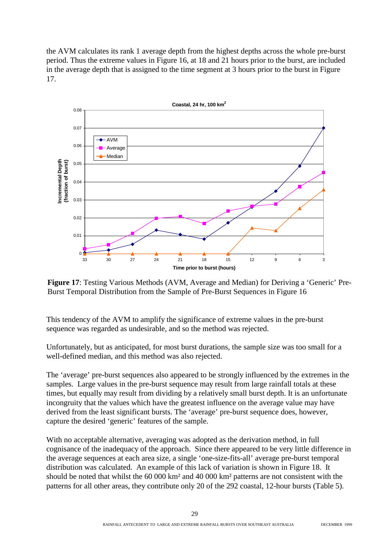the AVM calculates its rank 1 average depth from the highest depths across the whole pre-burst period. Thus the extreme values in Figure 16, at 18 and 21 hours prior to the burst, are included in the average depth that is assigned to the time segment at 3 hours prior to the burst in Figure 17.



**Figure 17**: Testing Various Methods (AVM, Average and Median) for Deriving a 'Generic' Pre-Burst Temporal Distribution from the Sample of Pre-Burst Sequences in Figure 16

This tendency of the AVM to amplify the significance of extreme values in the pre-burst sequence was regarded as undesirable, and so the method was rejected.

Unfortunately, but as anticipated, for most burst durations, the sample size was too small for a well-defined median, and this method was also rejected.

The 'average' pre-burst sequences also appeared to be strongly influenced by the extremes in the samples. Large values in the pre-burst sequence may result from large rainfall totals at these times, but equally may result from dividing by a relatively small burst depth. It is an unfortunate incongruity that the values which have the greatest influence on the average value may have derived from the least significant bursts. The 'average' pre-burst sequence does, however, capture the desired 'generic' features of the sample.

With no acceptable alternative, averaging was adopted as the derivation method, in full cognisance of the inadequacy of the approach. Since there appeared to be very little difference in the average sequences at each area size, a single 'one-size-fits-all' average pre-burst temporal distribution was calculated. An example of this lack of variation is shown in Figure 18. It should be noted that whilst the 60 000 km² and 40 000 km² patterns are not consistent with the patterns for all other areas, they contribute only 20 of the 292 coastal, 12-hour bursts (Table 5).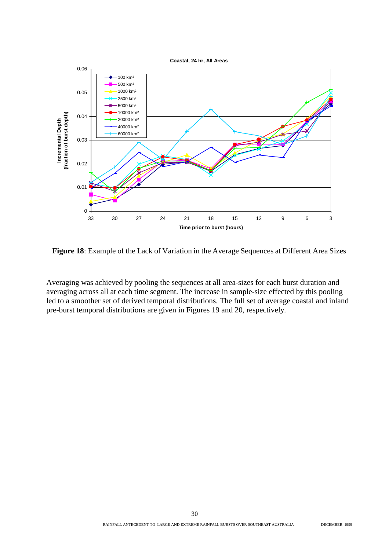

**Figure 18**: Example of the Lack of Variation in the Average Sequences at Different Area Sizes

Averaging was achieved by pooling the sequences at all area-sizes for each burst duration and averaging across all at each time segment. The increase in sample-size effected by this pooling led to a smoother set of derived temporal distributions. The full set of average coastal and inland pre-burst temporal distributions are given in Figures 19 and 20, respectively.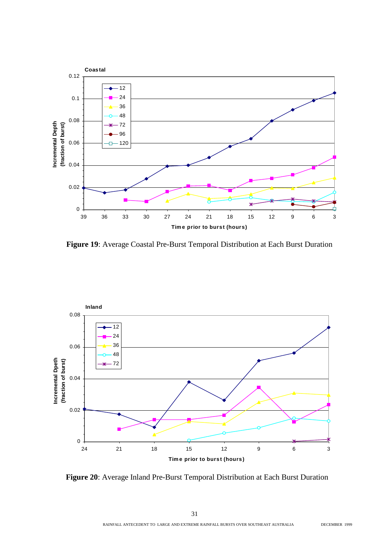

**Figure 19**: Average Coastal Pre-Burst Temporal Distribution at Each Burst Duration



**Figure 20**: Average Inland Pre-Burst Temporal Distribution at Each Burst Duration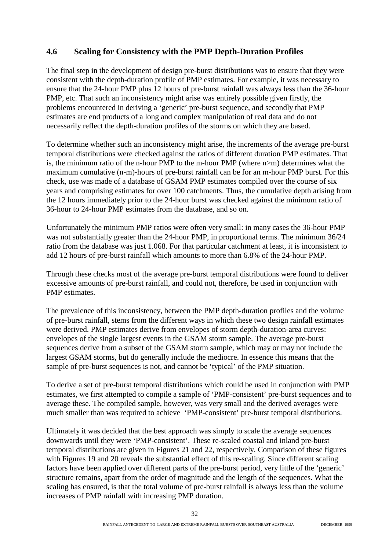#### **4.6 Scaling for Consistency with the PMP Depth-Duration Profiles**

The final step in the development of design pre-burst distributions was to ensure that they were consistent with the depth-duration profile of PMP estimates. For example, it was necessary to ensure that the 24-hour PMP plus 12 hours of pre-burst rainfall was always less than the 36-hour PMP, etc. That such an inconsistency might arise was entirely possible given firstly, the problems encountered in deriving a 'generic' pre-burst sequence, and secondly that PMP estimates are end products of a long and complex manipulation of real data and do not necessarily reflect the depth-duration profiles of the storms on which they are based.

To determine whether such an inconsistency might arise, the increments of the average pre-burst temporal distributions were checked against the ratios of different duration PMP estimates. That is, the minimum ratio of the n-hour PMP to the m-hour PMP (where n>m) determines what the maximum cumulative (n-m)-hours of pre-burst rainfall can be for an m-hour PMP burst. For this check, use was made of a database of GSAM PMP estimates compiled over the course of six years and comprising estimates for over 100 catchments. Thus, the cumulative depth arising from the 12 hours immediately prior to the 24-hour burst was checked against the minimum ratio of 36-hour to 24-hour PMP estimates from the database, and so on.

Unfortunately the minimum PMP ratios were often very small: in many cases the 36-hour PMP was not substantially greater than the 24-hour PMP, in proportional terms. The minimum 36/24 ratio from the database was just 1.068. For that particular catchment at least, it is inconsistent to add 12 hours of pre-burst rainfall which amounts to more than 6.8% of the 24-hour PMP.

Through these checks most of the average pre-burst temporal distributions were found to deliver excessive amounts of pre-burst rainfall, and could not, therefore, be used in conjunction with PMP estimates.

The prevalence of this inconsistency, between the PMP depth-duration profiles and the volume of pre-burst rainfall, stems from the different ways in which these two design rainfall estimates were derived. PMP estimates derive from envelopes of storm depth-duration-area curves: envelopes of the single largest events in the GSAM storm sample. The average pre-burst sequences derive from a subset of the GSAM storm sample, which may or may not include the largest GSAM storms, but do generally include the mediocre. In essence this means that the sample of pre-burst sequences is not, and cannot be 'typical' of the PMP situation.

To derive a set of pre-burst temporal distributions which could be used in conjunction with PMP estimates, we first attempted to compile a sample of 'PMP-consistent' pre-burst sequences and to average these. The compiled sample, however, was very small and the derived averages were much smaller than was required to achieve 'PMP-consistent' pre-burst temporal distributions.

Ultimately it was decided that the best approach was simply to scale the average sequences downwards until they were 'PMP-consistent'. These re-scaled coastal and inland pre-burst temporal distributions are given in Figures 21 and 22, respectively. Comparison of these figures with Figures 19 and 20 reveals the substantial effect of this re-scaling. Since different scaling factors have been applied over different parts of the pre-burst period, very little of the 'generic' structure remains, apart from the order of magnitude and the length of the sequences. What the scaling has ensured, is that the total volume of pre-burst rainfall is always less than the volume increases of PMP rainfall with increasing PMP duration.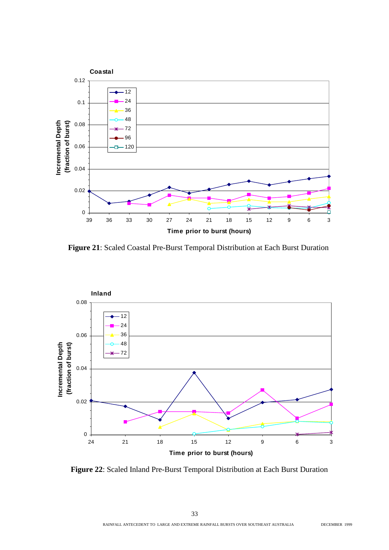

**Figure 21**: Scaled Coastal Pre-Burst Temporal Distribution at Each Burst Duration



**Figure 22**: Scaled Inland Pre-Burst Temporal Distribution at Each Burst Duration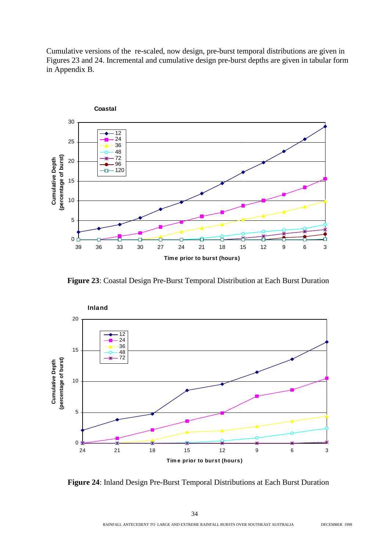Cumulative versions of the re-scaled, now design, pre-burst temporal distributions are given in Figures 23 and 24. Incremental and cumulative design pre-burst depths are given in tabular form in Appendix B.



**Figure 23**: Coastal Design Pre-Burst Temporal Distribution at Each Burst Duration



**Figure 24**: Inland Design Pre-Burst Temporal Distributions at Each Burst Duration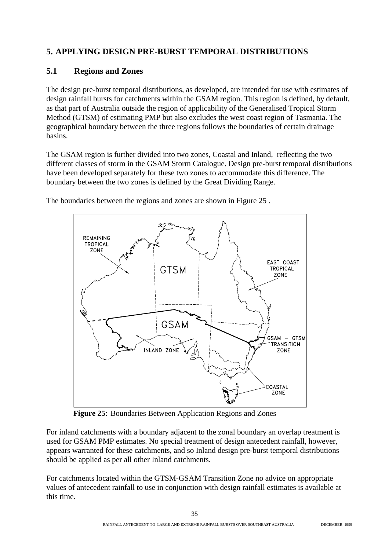### **5. APPLYING DESIGN PRE-BURST TEMPORAL DISTRIBUTIONS**

#### **5.1 Regions and Zones**

The design pre-burst temporal distributions, as developed, are intended for use with estimates of design rainfall bursts for catchments within the GSAM region. This region is defined, by default, as that part of Australia outside the region of applicability of the Generalised Tropical Storm Method (GTSM) of estimating PMP but also excludes the west coast region of Tasmania. The geographical boundary between the three regions follows the boundaries of certain drainage basins.

The GSAM region is further divided into two zones, Coastal and Inland, reflecting the two different classes of storm in the GSAM Storm Catalogue. Design pre-burst temporal distributions have been developed separately for these two zones to accommodate this difference. The boundary between the two zones is defined by the Great Dividing Range.



The boundaries between the regions and zones are shown in Figure 25 .

**Figure 25**: Boundaries Between Application Regions and Zones

For inland catchments with a boundary adjacent to the zonal boundary an overlap treatment is used for GSAM PMP estimates. No special treatment of design antecedent rainfall, however, appears warranted for these catchments, and so Inland design pre-burst temporal distributions should be applied as per all other Inland catchments.

For catchments located within the GTSM-GSAM Transition Zone no advice on appropriate values of antecedent rainfall to use in conjunction with design rainfall estimates is available at this time.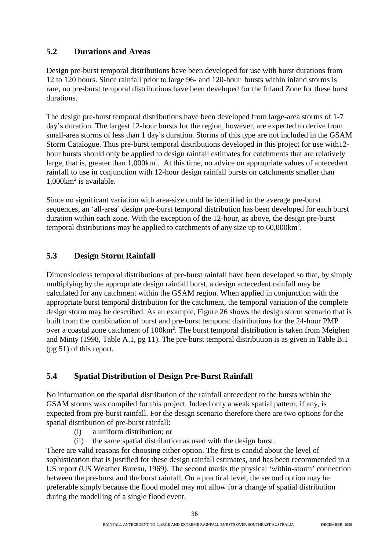#### **5.2 Durations and Areas**

Design pre-burst temporal distributions have been developed for use with burst durations from 12 to 120 hours. Since rainfall prior to large 96- and 120-hour bursts within inland storms is rare, no pre-burst temporal distributions have been developed for the Inland Zone for these burst durations.

The design pre-burst temporal distributions have been developed from large-area storms of 1-7 day's duration. The largest 12-hour bursts for the region, however, are expected to derive from small-area storms of less than 1 day's duration. Storms of this type are not included in the GSAM Storm Catalogue. Thus pre-burst temporal distributions developed in this project for use with12 hour bursts should only be applied to design rainfall estimates for catchments that are relatively large, that is, greater than 1,000km<sup>2</sup>. At this time, no advice on appropriate values of antecedent rainfall to use in conjunction with 12-hour design rainfall bursts on catchments smaller than 1,000km2 is available.

Since no significant variation with area-size could be identified in the average pre-burst sequences, an 'all-area' design pre-burst temporal distribution has been developed for each burst duration within each zone. With the exception of the 12-hour, as above, the design pre-burst temporal distributions may be applied to catchments of any size up to  $60,000 \text{km}^2$ .

### **5.3 Design Storm Rainfall**

Dimensionless temporal distributions of pre-burst rainfall have been developed so that, by simply multiplying by the appropriate design rainfall burst, a design antecedent rainfall may be calculated for any catchment within the GSAM region. When applied in conjunction with the appropriate burst temporal distribution for the catchment, the temporal variation of the complete design storm may be described. As an example, Figure 26 shows the design storm scenario that is built from the combination of burst and pre-burst temporal distributions for the 24-hour PMP over a coastal zone catchment of 100km<sup>2</sup>. The burst temporal distribution is taken from Meighen and Minty (1998, Table A.1, pg 11). The pre-burst temporal distribution is as given in Table B.1 (pg 51) of this report.

### **5.4 Spatial Distribution of Design Pre-Burst Rainfall**

No information on the spatial distribution of the rainfall antecedent to the bursts within the GSAM storms was compiled for this project. Indeed only a weak spatial pattern, if any, is expected from pre-burst rainfall. For the design scenario therefore there are two options for the spatial distribution of pre-burst rainfall:

- (i) a uniform distribution; or
- (ii) the same spatial distribution as used with the design burst.

There are valid reasons for choosing either option. The first is candid about the level of sophistication that is justified for these design rainfall estimates, and has been recommended in a US report (US Weather Bureau, 1969). The second marks the physical 'within-storm' connection between the pre-burst and the burst rainfall. On a practical level, the second option may be preferable simply because the flood model may not allow for a change of spatial distribution during the modelling of a single flood event.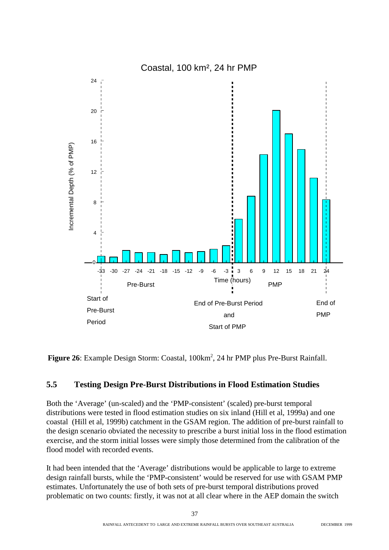

Figure 26: Example Design Storm: Coastal, 100km<sup>2</sup>, 24 hr PMP plus Pre-Burst Rainfall.

#### **5.5 Testing Design Pre-Burst Distributions in Flood Estimation Studies**

Both the 'Average' (un-scaled) and the 'PMP-consistent' (scaled) pre-burst temporal distributions were tested in flood estimation studies on six inland (Hill et al, 1999a) and one coastal (Hill et al, 1999b) catchment in the GSAM region. The addition of pre-burst rainfall to the design scenario obviated the necessity to prescribe a burst initial loss in the flood estimation exercise, and the storm initial losses were simply those determined from the calibration of the flood model with recorded events.

It had been intended that the 'Average' distributions would be applicable to large to extreme design rainfall bursts, while the 'PMP-consistent' would be reserved for use with GSAM PMP estimates. Unfortunately the use of both sets of pre-burst temporal distributions proved problematic on two counts: firstly, it was not at all clear where in the AEP domain the switch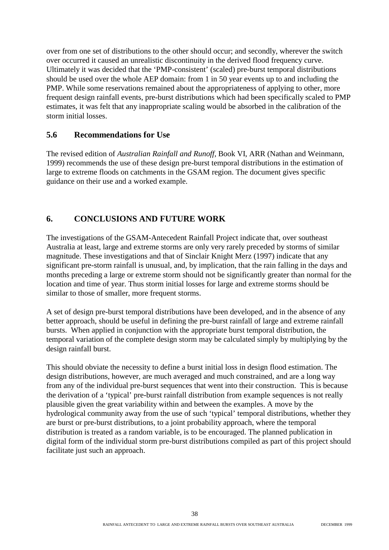over from one set of distributions to the other should occur; and secondly, wherever the switch over occurred it caused an unrealistic discontinuity in the derived flood frequency curve. Ultimately it was decided that the 'PMP-consistent' (scaled) pre-burst temporal distributions should be used over the whole AEP domain: from 1 in 50 year events up to and including the PMP. While some reservations remained about the appropriateness of applying to other, more frequent design rainfall events, pre-burst distributions which had been specifically scaled to PMP estimates, it was felt that any inappropriate scaling would be absorbed in the calibration of the storm initial losses.

#### **5.6 Recommendations for Use**

The revised edition of *Australian Rainfall and Runoff,* Book VI, ARR (Nathan and Weinmann, 1999) recommends the use of these design pre-burst temporal distributions in the estimation of large to extreme floods on catchments in the GSAM region. The document gives specific guidance on their use and a worked example.

#### **6. CONCLUSIONS AND FUTURE WORK**

The investigations of the GSAM-Antecedent Rainfall Project indicate that, over southeast Australia at least, large and extreme storms are only very rarely preceded by storms of similar magnitude. These investigations and that of Sinclair Knight Merz (1997) indicate that any significant pre-storm rainfall is unusual, and, by implication, that the rain falling in the days and months preceding a large or extreme storm should not be significantly greater than normal for the location and time of year. Thus storm initial losses for large and extreme storms should be similar to those of smaller, more frequent storms.

A set of design pre-burst temporal distributions have been developed, and in the absence of any better approach, should be useful in defining the pre-burst rainfall of large and extreme rainfall bursts. When applied in conjunction with the appropriate burst temporal distribution, the temporal variation of the complete design storm may be calculated simply by multiplying by the design rainfall burst.

This should obviate the necessity to define a burst initial loss in design flood estimation. The design distributions, however, are much averaged and much constrained, and are a long way from any of the individual pre-burst sequences that went into their construction. This is because the derivation of a 'typical' pre-burst rainfall distribution from example sequences is not really plausible given the great variability within and between the examples. A move by the hydrological community away from the use of such 'typical' temporal distributions, whether they are burst or pre-burst distributions, to a joint probability approach, where the temporal distribution is treated as a random variable, is to be encouraged. The planned publication in digital form of the individual storm pre-burst distributions compiled as part of this project should facilitate just such an approach.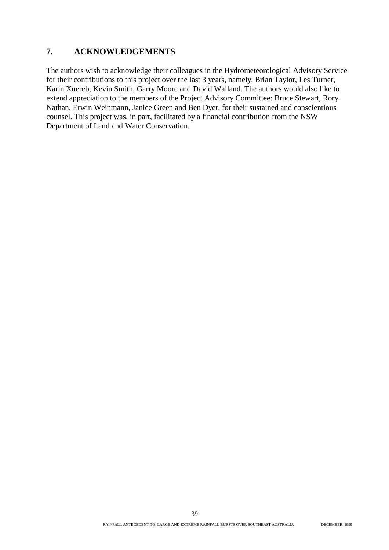#### **7. ACKNOWLEDGEMENTS**

The authors wish to acknowledge their colleagues in the Hydrometeorological Advisory Service for their contributions to this project over the last 3 years, namely, Brian Taylor, Les Turner, Karin Xuereb, Kevin Smith, Garry Moore and David Walland. The authors would also like to extend appreciation to the members of the Project Advisory Committee: Bruce Stewart, Rory Nathan, Erwin Weinmann, Janice Green and Ben Dyer, for their sustained and conscientious counsel. This project was, in part, facilitated by a financial contribution from the NSW Department of Land and Water Conservation.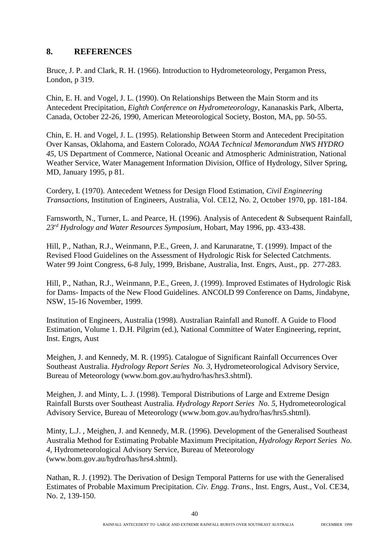#### **8. REFERENCES**

Bruce, J. P. and Clark, R. H. (1966). Introduction to Hydrometeorology, Pergamon Press, London, p 319.

Chin, E. H. and Vogel, J. L. (1990). On Relationships Between the Main Storm and its Antecedent Precipitation, *Eighth Conference on Hydrometeorology*, Kananaskis Park, Alberta, Canada, October 22-26, 1990, American Meteorological Society, Boston, MA, pp. 50-55.

Chin, E. H. and Vogel, J. L. (1995). Relationship Between Storm and Antecedent Precipitation Over Kansas, Oklahoma, and Eastern Colorado, *NOAA Technical Memorandum NWS HYDRO 45*, US Department of Commerce, National Oceanic and Atmospheric Administration, National Weather Service, Water Management Information Division, Office of Hydrology, Silver Spring, MD, January 1995, p 81.

Cordery, I. (1970). Antecedent Wetness for Design Flood Estimation, *Civil Engineering Transactions*, Institution of Engineers, Australia, Vol. CE12, No. 2, October 1970, pp. 181-184.

Farnsworth, N., Turner, L. and Pearce, H. (1996). Analysis of Antecedent & Subsequent Rainfall, *23rd Hydrology and Water Resources Symposium*, Hobart, May 1996, pp. 433-438.

Hill, P., Nathan, R.J., Weinmann, P.E., Green, J. and Karunaratne, T. (1999). Impact of the Revised Flood Guidelines on the Assessment of Hydrologic Risk for Selected Catchments. Water 99 Joint Congress, 6-8 July, 1999, Brisbane, Australia, Inst. Engrs, Aust., pp. 277-283.

Hill, P., Nathan, R.J., Weinmann, P.E., Green, J. (1999). Improved Estimates of Hydrologic Risk for Dams- Impacts of the New Flood Guidelines. ANCOLD 99 Conference on Dams, Jindabyne, NSW, 15-16 November, 1999.

Institution of Engineers, Australia (1998). Australian Rainfall and Runoff. A Guide to Flood Estimation, Volume 1. D.H. Pilgrim (ed.), National Committee of Water Engineering, reprint, Inst. Engrs, Aust

Meighen, J. and Kennedy, M. R. (1995). Catalogue of Significant Rainfall Occurrences Over Southeast Australia. *Hydrology Report Series No. 3*, Hydrometeorological Advisory Service, Bureau of Meteorology (www.bom.gov.au/hydro/has/hrs3.shtml).

Meighen, J. and Minty, L. J. (1998). Temporal Distributions of Large and Extreme Design Rainfall Bursts over Southeast Australia. *Hydrology Report Series No. 5*, Hydrometeorological Advisory Service, Bureau of Meteorology (www.bom.gov.au/hydro/has/hrs5.shtml).

Minty, L.J. , Meighen, J. and Kennedy, M.R. (1996). Development of the Generalised Southeast Australia Method for Estimating Probable Maximum Precipitation, *Hydrology Report Series No. 4*, Hydrometeorological Advisory Service, Bureau of Meteorology (www.bom.gov.au/hydro/has/hrs4.shtml).

Nathan, R. J. (1992). The Derivation of Design Temporal Patterns for use with the Generalised Estimates of Probable Maximum Precipitation. *Civ. Engg. Trans.*, Inst. Engrs, Aust., Vol. CE34, No. 2, 139-150.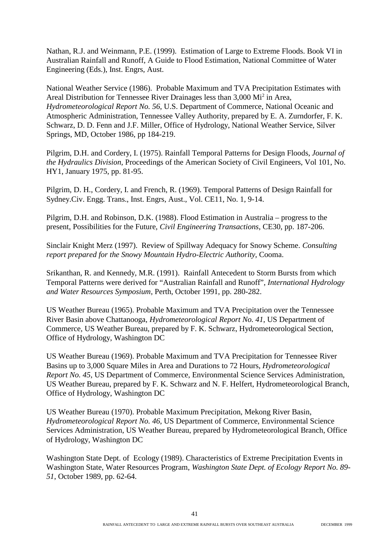Nathan, R.J. and Weinmann, P.E. (1999). Estimation of Large to Extreme Floods. Book VI in Australian Rainfall and Runoff, A Guide to Flood Estimation, National Committee of Water Engineering (Eds.), Inst. Engrs, Aust.

National Weather Service (1986). Probable Maximum and TVA Precipitation Estimates with Areal Distribution for Tennessee River Drainages less than 3,000 Mi<sup>2</sup> in Area, *Hydrometeorological Report No. 56*, U.S. Department of Commerce, National Oceanic and Atmospheric Administration, Tennessee Valley Authority, prepared by E. A. Zurndorfer, F. K. Schwarz, D. D. Fenn and J.F. Miller, Office of Hydrology, National Weather Service, Silver Springs, MD, October 1986, pp 184-219.

Pilgrim, D.H. and Cordery, I. (1975). Rainfall Temporal Patterns for Design Floods, *Journal of the Hydraulics Division*, Proceedings of the American Society of Civil Engineers, Vol 101, No. HY1, January 1975, pp. 81-95.

Pilgrim, D. H., Cordery, I. and French, R. (1969). Temporal Patterns of Design Rainfall for Sydney.Civ. Engg. Trans., Inst. Engrs, Aust., Vol. CE11, No. 1, 9-14.

Pilgrim, D.H. and Robinson, D.K. (1988). Flood Estimation in Australia – progress to the present, Possibilities for the Future, *Civil Engineering Transactions*, CE30, pp. 187-206.

Sinclair Knight Merz (1997). Review of Spillway Adequacy for Snowy Scheme. *Consulting report prepared for the Snowy Mountain Hydro-Electric Authority*, Cooma.

Srikanthan, R. and Kennedy, M.R. (1991). Rainfall Antecedent to Storm Bursts from which Temporal Patterns were derived for "Australian Rainfall and Runoff", *International Hydrology and Water Resources Symposium*, Perth, October 1991, pp. 280-282.

US Weather Bureau (1965). Probable Maximum and TVA Precipitation over the Tennessee River Basin above Chattanooga, *Hydrometeorological Report No. 41*, US Department of Commerce, US Weather Bureau, prepared by F. K. Schwarz, Hydrometeorological Section, Office of Hydrology, Washington DC

US Weather Bureau (1969). Probable Maximum and TVA Precipitation for Tennessee River Basins up to 3,000 Square Miles in Area and Durations to 72 Hours, *Hydrometeorological Report No. 45*, US Department of Commerce, Environmental Science Services Administration, US Weather Bureau, prepared by F. K. Schwarz and N. F. Helfert, Hydrometeorological Branch, Office of Hydrology, Washington DC

US Weather Bureau (1970). Probable Maximum Precipitation, Mekong River Basin, *Hydrometeorological Report No. 46*, US Department of Commerce, Environmental Science Services Administration, US Weather Bureau, prepared by Hydrometeorological Branch, Office of Hydrology, Washington DC

Washington State Dept. of Ecology (1989). Characteristics of Extreme Precipitation Events in Washington State, Water Resources Program, *Washington State Dept. of Ecology Report No. 89- 51*, October 1989, pp. 62-64.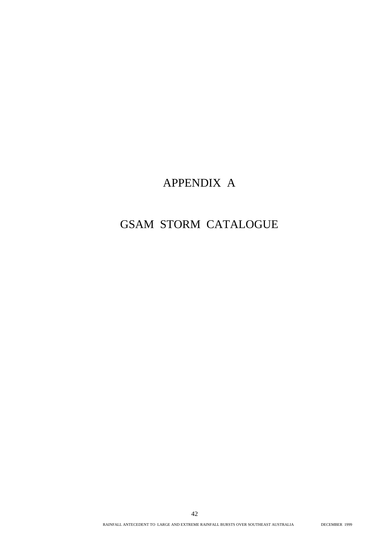# APPENDIX A

# GSAM STORM CATALOGUE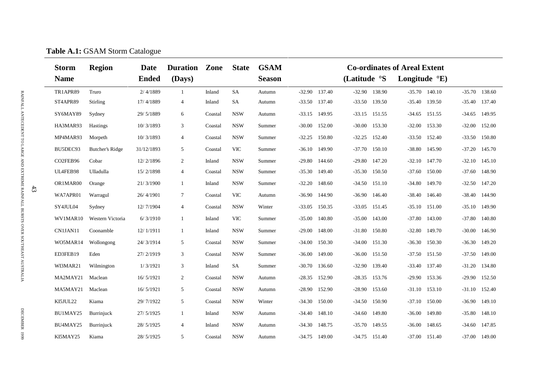|        | <b>Storm</b> | <b>Region</b>    | <b>Date</b>  | <b>Duration</b> | Zone    | <b>State</b> | <b>GSAM</b><br><b>Co-ordinates of Areal Extent</b> |                 |                 |                    |                          |                 |                   |
|--------|--------------|------------------|--------------|-----------------|---------|--------------|----------------------------------------------------|-----------------|-----------------|--------------------|--------------------------|-----------------|-------------------|
|        | <b>Name</b>  |                  | <b>Ended</b> | (Days)          |         |              | <b>Season</b>                                      |                 |                 | (Latitude °S       | Longitude $\mathrm{E}$ ) |                 |                   |
|        | TR1APR89     | Truro            | 2/4/1889     | $\mathbf{1}$    | Inland  | SA           | Autumn                                             | $-32.90$ 137.40 |                 | $-32.90$ 138.90    | $-35.70$ 140.10          |                 | $-35.70$ 138.60   |
|        | ST4APR89     | Stirling         | 17/4/1889    | 4               | Inland  | SA           | Autumn                                             | $-33.50$ 137.40 |                 | $-33.50$ 139.50    | $-35.40$<br>139.50       |                 | $-35.40$ 137.40   |
|        | SY6MAY89     | Sydney           | 29/5/1889    | 6               | Coastal | <b>NSW</b>   | Autumn                                             | $-33.15$ 149.95 |                 | $-33.15$ $151.55$  | $-34.65$ 151.55          | $-34.65$ 149.95 |                   |
|        | HA3MAR93     | <b>Hastings</b>  | 10/3/1893    | 3               | Coastal | <b>NSW</b>   | Summer                                             | $-30.00$        | 152.00          | $-30.00$<br>153.30 | $-32.00$<br>153.30       | $-32.00$ 152.00 |                   |
|        | MP4MAR93     | Morpeth          | 10/3/1893    | $\overline{4}$  | Coastal | <b>NSW</b>   | Summer                                             | $-32.25$        | 150.80          | $-32.25$ 152.40    | $-33.50$ 152.40          | $-33.50$ 150.80 |                   |
|        | BU5DEC93     | Butcher's Ridge  | 31/12/1893   | 5               | Coastal | <b>VIC</b>   | Summer                                             | $-36.10$        | 149.90          | $-37.70$<br>150.10 | $-38.80$<br>145.90       | $-37.20$        | 145.70            |
|        | CO2FEB96     | Cobar            | 12/2/1896    | 2               | Inland  | <b>NSW</b>   | Summer                                             | $-29.80$        | 144.60          | $-29.80$<br>147.20 | $-32.10$<br>147.70       | $-32.10$        | 145.10            |
|        | UL4FEB98     | Ulladulla        | 15/2/1898    | 4               | Coastal | <b>NSW</b>   | Summer                                             | $-35.30$        | 149.40          | $-35.30$ 150.50    | $-37.60$<br>150.00       | $-37.60$ 148.90 |                   |
|        | OR1MAR00     | Orange           | 21/3/1900    | 1               | Inland  | <b>NSW</b>   | Summer                                             | $-32.20$        | 148.60          | $-34.50$ 151.10    | $-34.80$<br>149.70       | $-32.50$ 147.20 |                   |
| $43\,$ | WA7APR01     | Warragul         | 26/4/1901    | $\tau$          | Coastal | <b>VIC</b>   | Autumn                                             | $-36.90$        | 144.90          | $-36.90$<br>146.40 | $-38.40$<br>146.40       | $-38.40$ 144.90 |                   |
|        | SY4JUL04     | Sydney           | 12/7/1904    | $\overline{4}$  | Coastal | <b>NSW</b>   | Winter                                             | $-33.05$        | 150.35          | $-33.05$<br>151.45 | $-35.10$<br>151.00       | $-35.10$        | 149.90            |
|        | WV1MAR10     | Western Victoria | 6/3/1910     | 1               | Inland  | <b>VIC</b>   | Summer                                             | $-35.00$        | 140.80          | 143.00<br>$-35.00$ | $-37.80$<br>143.00       | $-37.80$        | 140.80            |
|        | CN1JAN11     | Coonamble        | 12/1/1911    | -1              | Inland  | <b>NSW</b>   | Summer                                             | $-29.00$        | 148.00          | $-31.80$<br>150.80 | $-32.80$<br>149.70       | $-30.00$        | 146.90            |
|        | WO5MAR14     | Wollongong       | 24/3/1914    | 5               | Coastal | <b>NSW</b>   | Summer                                             | $-34.00$        | 150.30          | $-34.00$<br>151.30 | $-36.30$<br>150.30       | $-36.30$        | 149.20            |
|        | ED3FEB19     | Eden             | 27/2/1919    | 3               | Coastal | <b>NSW</b>   | Summer                                             | $-36.00$        | 149.00          | $-36.00$<br>151.50 | $-37.50$<br>151.50       | $-37.50$        | 149.00            |
|        | WI3MAR21     | Wilmington       | 1/3/1921     | 3               | Inland  | SA           | Summer                                             | $-30.70$        | 136.60          | $-32.90$<br>139.40 | 137.40<br>$-33.40$       | $-31.20$ 134.80 |                   |
|        | MA2MAY21     | Maclean          | 16/5/1921    | $\overline{2}$  | Coastal | <b>NSW</b>   | Autumn                                             | $-28.35$        | 152.90          | $-28.35$ 153.76    | $-29.90$<br>153.36       | $-29.90$        | 152.50            |
|        | MA5MAY21     | Maclean          | 16/5/1921    | 5               | Coastal | <b>NSW</b>   | Autumn                                             | $-28.90$ 152.90 |                 | $-28.90$ 153.60    | 153.10<br>$-31.10$       |                 | $-31.10$ $152.40$ |
|        | KI5JUL22     | Kiama            | 29/7/1922    | 5               | Coastal | <b>NSW</b>   | Winter                                             | $-34.30$        | 150.00          | $-34.50$ 150.90    | $-37.10$<br>150.00       |                 | $-36.90$ 149.10   |
|        | BU1MAY25     | Burrinjuck       | 27/ 5/1925   | $\mathbf{1}$    | Inland  | <b>NSW</b>   | Autumn                                             |                 | $-34.40$ 148.10 | $-34.60$ 149.80    | $-36.00$<br>149.80       | $-35.80$ 148.10 |                   |
|        | BU4MAY25     | Burrinjuck       | 28/5/1925    | $\overline{4}$  | Inland  | <b>NSW</b>   | Autumn                                             | $-34.30$        | 148.75          | $-35.70$ 149.55    | $-36.00$<br>148.65       | $-34.60$ 147.85 |                   |
|        | KI5MAY25     | Kiama            | 28/5/1925    | 5               | Coastal | <b>NSW</b>   | Autumn                                             | $-34.75$ 149.00 |                 | $-34.75$ 151.40    | $-37.00$<br>151.40       | $-37.00$ 149.00 |                   |

## **Table A.1:** GSAM Storm Catalogue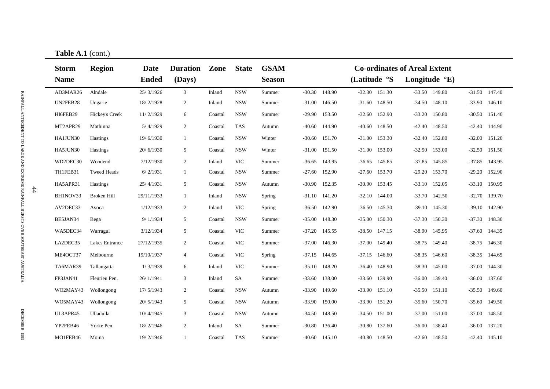|   | $\ldots$                    |                    |                             |                           |         |              |                              |          |                 |                   |        |                                                                 |                 |                 |                   |
|---|-----------------------------|--------------------|-----------------------------|---------------------------|---------|--------------|------------------------------|----------|-----------------|-------------------|--------|-----------------------------------------------------------------|-----------------|-----------------|-------------------|
|   | <b>Storm</b><br><b>Name</b> | <b>Region</b>      | <b>Date</b><br><b>Ended</b> | <b>Duration</b><br>(Days) | Zone    | <b>State</b> | <b>GSAM</b><br><b>Season</b> |          |                 | (Latitude °S      |        | <b>Co-ordinates of Areal Extent</b><br>Longitude $\mathrm{E}$ ) |                 |                 |                   |
|   | AD3MAR26                    | Alndale            | 25/3/1926                   | $\mathfrak{Z}$            | Inland  | <b>NSW</b>   | Summer                       |          | $-30.30$ 148.90 | $-32.30$ $151.30$ |        |                                                                 | $-33.50$ 149.80 | $-31.50$ 147.40 |                   |
|   | UN2FEB28                    | Ungarie            | 18/2/1928                   | $\overline{2}$            | Inland  | <b>NSW</b>   | Summer                       |          | $-31.00$ 146.50 | $-31.60$ 148.50   |        | $-34.50$                                                        | 148.10          | $-33.90$ 146.10 |                   |
|   | HI6FEB29                    | Hickey's Creek     | 11/2/1929                   | 6                         | Coastal | <b>NSW</b>   | Summer                       | $-29.90$ | 153.50          | $-32.60$ 152.90   |        | $-33.20$                                                        | 150.80          | $-30.50$ 151.40 |                   |
|   | MT2APR29                    | Mathinna           | 5/4/1929                    | $\overline{2}$            | Coastal | <b>TAS</b>   | Autumn                       | -40.60   | 144.90          | $-40.60$          | 148.50 | $-42.40$                                                        | 148.50          |                 | $-42.40$ 144.90   |
|   | HA1JUN30                    | <b>Hastings</b>    | 19/6/1930                   | 1                         | Coastal | <b>NSW</b>   | Winter                       | $-30.60$ | 151.70          | $-31.00$          | 153.30 | $-32.40$                                                        | 152.80          | $-32.00$        | 151.20            |
|   | HA5JUN30                    | <b>Hastings</b>    | 20/6/1930                   | 5                         | Coastal | <b>NSW</b>   | Winter                       | $-31.00$ | 151.50          | $-31.00$          | 153.00 | $-32.50$                                                        | 153.00          | $-32.50$        | 151.50            |
|   | WD2DEC30                    | Woodend            | 7/12/1930                   | $\overline{2}$            | Inland  | <b>VIC</b>   | Summer                       | -36.65   | 143.95          | $-36.65$          | 145.85 | $-37.85$                                                        | 145.85          | -37.85          | 143.95            |
|   | TH1FEB31                    | <b>Tweed Heads</b> | 6/2/1931                    | $\mathbf{1}$              | Coastal | <b>NSW</b>   | Summer                       | $-27.60$ | 152.90          | $-27.60$          | 153.70 | $-29.20$                                                        | 153.70          | $-29.20$        | 152.90            |
|   | HA5APR31                    | <b>Hastings</b>    | 25/4/1931                   | 5                         | Coastal | <b>NSW</b>   | Autumn                       | $-30.90$ | 152.35          | $-30.90$ 153.45   |        | $-33.10$                                                        | 152.05          | $-33.10$ 150.95 |                   |
| # | BH1NOV33                    | Broken Hill        | 29/11/1933                  | 1                         | Inland  | <b>NSW</b>   | Spring                       | $-31.10$ | 141.20          | $-32.10$          | 144.00 | $-33.70$                                                        | 142.50          | -32.70          | 139.70            |
|   | AV2DEC33                    | Avoca              | 1/12/1933                   | $\overline{2}$            | Inland  | <b>VIC</b>   | Spring                       | $-36.50$ | 142.90          | $-36.50$          | 145.30 | $-39.10$                                                        | 145.30          | -39.10          | 142.90            |
|   | BE5JAN34                    | Bega               | 9/1/1934                    | 5                         | Coastal | <b>NSW</b>   | Summer                       | $-35.00$ | 148.30          | $-35.00$          | 150.30 | $-37.30$                                                        | 150.30          | $-37.30$ 148.30 |                   |
|   | WA5DEC34                    | Warragul           | 3/12/1934                   | 5                         | Coastal | <b>VIC</b>   | Summer                       | $-37.20$ | 145.55          | $-38.50$          | 147.15 | $-38.90$                                                        | 145.95          | $-37.60$ 144.35 |                   |
|   | LA2DEC35                    | Lakes Entrance     | 27/12/1935                  | $\overline{2}$            | Coastal | <b>VIC</b>   | Summer                       |          | $-37.00$ 146.30 | $-37.00$          | 149.40 | $-38.75$                                                        | 149.40          | $-38.75$ 146.30 |                   |
|   | ME4OCT37                    | Melbourne          | 19/10/1937                  | $\overline{4}$            | Coastal | <b>VIC</b>   | Spring                       |          | $-37.15$ 144.65 | $-37.15$ 146.60   |        | $-38.35$                                                        | 146.60          | $-38.35$ 144.65 |                   |
|   | TA6MAR39                    | Tallangatta        | 1/3/1939                    | 6                         | Inland  | <b>VIC</b>   | Summer                       |          | $-35.10$ 148.20 | $-36.40$ 148.90   |        | $-38.30$                                                        | 145.00          |                 | $-37.00$ 144.30   |
|   | FP3JAN41                    | Fleurieu Pen.      | 26/1/1941                   | 3                         | Inland  | <b>SA</b>    | Summer                       |          | $-33.60$ 138.00 | $-33.60$ 139.90   |        | $-36.00$                                                        | 139.40          | $-36.00$ 137.60 |                   |
|   | WO2MAY43                    | Wollongong         | 17/5/1943                   | $\overline{2}$            | Coastal | <b>NSW</b>   | Autumn                       |          | $-33.90$ 149.60 | $-33.90$ 151.10   |        |                                                                 | $-35.50$ 151.10 | $-35.50$ 149.60 |                   |
|   | WO5MAY43                    | Wollongong         | 20/ 5/1943                  | 5                         | Coastal | <b>NSW</b>   | Autumn                       | $-33.90$ | 150.00          | $-33.90$ $151.20$ |        | $-35.60$                                                        | 150.70          | $-35.60$ 149.50 |                   |
|   | UL3APR45                    | Ulladulla          | 10/4/1945                   | 3                         | Coastal | <b>NSW</b>   | Autumn                       | $-34.50$ | 148.50          | $-34.50$ 151.00   |        | $-37.00$                                                        | 151.00          | -37.00          | 148.50            |
|   | YP2FEB46                    | Yorke Pen.         | 18/2/1946                   | $\overline{2}$            | Inland  | SA           | Summer                       | $-30.80$ | 136.40          | $-30.80$          | 137.60 | $-36.00$                                                        | 138.40          | $-36.00$        | 137.20            |
|   | MO1FEB46                    | Moina              | 19/2/1946                   | $\mathbf{1}$              | Coastal | <b>TAS</b>   | Summer                       | -40.60   | 145.10          | -40.80            | 148.50 | -42.60                                                          | 148.50          |                 | $-42.40$ $145.10$ |
|   |                             |                    |                             |                           |         |              |                              |          |                 |                   |        |                                                                 |                 |                 |                   |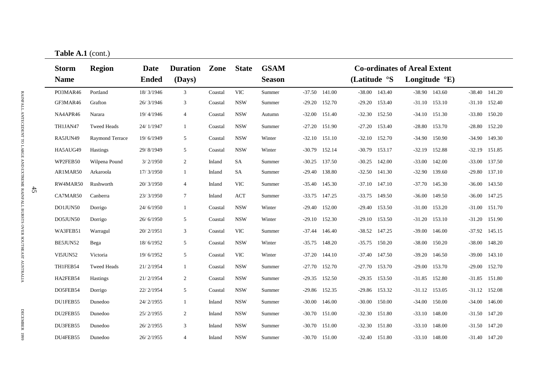|        | 100101111(00110)            | <b>GSAM</b><br><b>State</b><br><b>Co-ordinates of Areal Extent</b><br><b>Duration</b><br>Zone<br><b>Date</b> |              |                 |         |            |               |          |                   |                 |        |                          |        |          |                 |
|--------|-----------------------------|--------------------------------------------------------------------------------------------------------------|--------------|-----------------|---------|------------|---------------|----------|-------------------|-----------------|--------|--------------------------|--------|----------|-----------------|
|        | <b>Storm</b><br><b>Name</b> | <b>Region</b>                                                                                                | <b>Ended</b> | (Days)          |         |            | <b>Season</b> |          |                   | (Latitude °S    |        | Longitude $\mathrm{E}$ ) |        |          |                 |
|        | PO3MAR46                    | Portland                                                                                                     | 18/3/1946    | $\mathfrak{Z}$  | Coastal | <b>VIC</b> | Summer        |          | $-37.50$ 141.00   | $-38.00$ 143.40 |        | $-38.90$ 143.60          |        |          | $-38.40$ 141.20 |
|        | GF3MAR46                    | Grafton                                                                                                      | 26/3/1946    | 3               | Coastal | <b>NSW</b> | Summer        |          | $-29.20$ 152.70   | $-29.20$ 153.40 |        | $-31.10$ $153.10$        |        |          | $-31.10$ 152.40 |
|        | NA4APR46                    | Narara                                                                                                       | 19/4/1946    | 4               | Coastal | <b>NSW</b> | Autumn        |          | $-32.00$ 151.40   | $-32.30$ 152.50 |        | $-34.10$                 | 151.30 |          | $-33.80$ 150.20 |
|        | TH1JAN47                    | <b>Tweed Heads</b>                                                                                           | 24/1/1947    |                 | Coastal | <b>NSW</b> | Summer        | $-27.20$ | 151.90            | $-27.20$        | 153.40 | $-28.80$                 | 153.70 |          | $-28.80$ 152.20 |
|        | RA5JUN49                    | Raymond Terrace                                                                                              | 19/6/1949    | 5               | Coastal | <b>NSW</b> | Winter        | $-32.10$ | 151.10            | $-32.10$ 152.70 |        | $-34.90$                 | 150.90 | $-34.90$ | 149.30          |
|        | HA5AUG49                    | <b>Hastings</b>                                                                                              | 29/8/1949    | 5               | Coastal | <b>NSW</b> | Winter        |          | $-30.79$ 152.14   | $-30.79$        | 153.17 | $-32.19$                 | 152.88 | $-32.19$ | 151.85          |
|        | WP2FEB50                    | Wilpena Pound                                                                                                | 3/2/1950     | $\overline{2}$  | Inland  | SA         | Summer        | $-30.25$ | 137.50            | $-30.25$        | 142.00 | $-33.00$                 | 142.00 |          | $-33.00$ 137.50 |
|        | AR1MAR50                    | Arkaroola                                                                                                    | 17/3/1950    |                 | Inland  | SA         | Summer        | $-29.40$ | 138.80            | $-32.50$        | 141.30 | $-32.90$                 | 139.60 | $-29.80$ | 137.10          |
|        | RW4MAR50                    | Rushworth                                                                                                    | 20/3/1950    | $\overline{4}$  | Inland  | <b>VIC</b> | Summer        | $-35.40$ | 145.30            | $-37.10$ 147.10 |        | $-37.70$                 | 145.30 | $-36.00$ | 143.50          |
| $45\,$ | CA7MAR50                    | Canberra                                                                                                     | 23/3/1950    | $7\phantom{.0}$ | Inland  | <b>ACT</b> | Summer        | $-33.75$ | 147.25            | $-33.75$ 149.50 |        | $-36.00$                 | 149.50 |          | $-36.00$ 147.25 |
|        | DO1JUN50                    | Dorrigo                                                                                                      | 24/6/1950    |                 | Coastal | <b>NSW</b> | Winter        | $-29.40$ | 152.00            | $-29.40$ 153.50 |        | $-31.00$                 | 153.20 | $-31.00$ | 151.70          |
|        | DO5JUN50                    | Dorrigo                                                                                                      | 26/6/1950    | 5               | Coastal | <b>NSW</b> | Winter        |          | $-29.10$ $152.30$ | $-29.10$        | 153.50 | $-31.20$                 | 153.10 |          | $-31.20$ 151.90 |
|        | WA3FEB51                    | Warragul                                                                                                     | 20/2/1951    | 3               | Coastal | <b>VIC</b> | Summer        | $-37.44$ | 146.40            | $-38.52$ 147.25 |        | $-39.00$                 | 146.00 |          | $-37.92$ 145.15 |
|        | BE5JUN52                    | Bega                                                                                                         | 18/6/1952    | 5               | Coastal | <b>NSW</b> | Winter        |          | $-35.75$ 148.20   | $-35.75$ 150.20 |        | $-38.00$                 | 150.20 |          | $-38.00$ 148.20 |
|        | VI5JUN52                    | Victoria                                                                                                     | 19/6/1952    | 5               | Coastal | <b>VIC</b> | Winter        |          | $-37.20$ 144.10   | $-37.40$ 147.50 |        | $-39.20$                 | 146.50 |          | $-39.00$ 143.10 |
|        | TH1FEB54                    | <b>Tweed Heads</b>                                                                                           | 21/2/1954    |                 | Coastal | <b>NSW</b> | Summer        |          | $-27.70$ 152.70   | $-27.70$ 153.70 |        | $-29.00$                 | 153.70 |          | $-29.00$ 152.70 |
|        | HA2FEB54                    | <b>Hastings</b>                                                                                              | 21/2/1954    | $\overline{2}$  | Coastal | <b>NSW</b> | Summer        |          | $-29.35$ 152.50   | $-29.35$ 153.50 |        | $-31.85$                 | 152.80 |          | $-31.85$ 151.80 |
|        | DO5FEB54                    | Dorrigo                                                                                                      | 22/2/1954    | 5               | Coastal | <b>NSW</b> | Summer        |          | $-29.86$ 152.35   | -29.86 153.32   |        | $-31.12$ 153.05          |        |          | $-31.12$ 152.08 |
|        | DU1FEB55                    | Dunedoo                                                                                                      | 24/2/1955    |                 | Inland  | <b>NSW</b> | Summer        | $-30.00$ | 146.00            | $-30.00$        | 150.00 | $-34.00$                 | 150.00 |          | $-34.00$ 146.00 |
|        | DU2FEB55                    | Dunedoo                                                                                                      | 25/2/1955    | 2               | Inland  | <b>NSW</b> | Summer        | $-30.70$ | 151.00            | $-32.30$ 151.80 |        | $-33.10$                 | 148.00 |          | $-31.50$ 147.20 |
|        | DU3FEB55                    | Dunedoo                                                                                                      | 26/2/1955    | 3               | Inland  | <b>NSW</b> | Summer        | $-30.70$ | 151.00            | $-32.30$        | 151.80 | $-33.10$                 | 148.00 | $-31.50$ | 147.20          |
|        | DU4FEB55                    | Dunedoo                                                                                                      | 26/2/1955    | 4               | Inland  | <b>NSW</b> | Summer        | $-30.70$ | 151.00            | $-32.40$ 151.80 |        | $-33.10$                 | 148.00 |          | $-31.40$ 147.20 |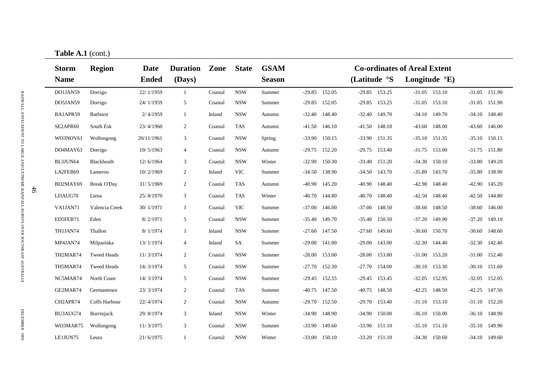| <b>Storm</b><br><b>Name</b> | <b>Region</b>      | Date<br><b>Ended</b> | <b>Duration</b><br>(Days) | Zone    | <b>State</b> | <b>GSAM</b><br><b>Season</b> |          |        | (Latitude °S                                                                                                                                                                                                                                         | Longitude ${}^{\circ}E$ ) |                                     |  |
|-----------------------------|--------------------|----------------------|---------------------------|---------|--------------|------------------------------|----------|--------|------------------------------------------------------------------------------------------------------------------------------------------------------------------------------------------------------------------------------------------------------|---------------------------|-------------------------------------|--|
| DO1JAN59                    | Dorrigo            | 22/1/1959            | -1                        | Coastal | <b>NSW</b>   | Summer                       |          |        | $-29.85$ 153.25                                                                                                                                                                                                                                      | $-31.05$ 153.10           | $-31.05$ 151.90                     |  |
| DO5JAN59                    | Dorrigo            | 24/1/1959            | 5                         | Coastal | <b>NSW</b>   | Summer                       |          |        | $-29.85$ 153.25                                                                                                                                                                                                                                      | $-31.05$ 153.10           | $-31.05$ 151.90                     |  |
| BA1APR59                    | <b>Bathurst</b>    | 2/4/1959             | 1                         | Inland  | <b>NSW</b>   | Autumn                       | $-32.40$ |        | $-32.40$ 149.70                                                                                                                                                                                                                                      | $-34.10$ 149.70           | $-34.10$ 148.40                     |  |
| SE2APR60                    | South Esk          | 23/4/1960            | $\overline{2}$            | Coastal | <b>TAS</b>   | Autumn                       | $-41.50$ |        | $-41.50$<br>148.10                                                                                                                                                                                                                                   | 148.00<br>$-43.60$        | 146.00<br>$-43.60$                  |  |
| WO3NOV61                    | Wollongong         | 20/11/1961           | 3                         | Coastal | <b>NSW</b>   | Spring                       | $-33.90$ | 150.15 | $-33.90$ 151.35                                                                                                                                                                                                                                      | $-35.10$<br>151.35        | 150.15<br>$-35.10$                  |  |
| DO4MAY63                    | Dorrigo            | 10/5/1963            | 4                         | Coastal | <b>NSW</b>   | Autumn                       | $-29.75$ | 152.20 | 153.40<br>$-29.75$                                                                                                                                                                                                                                   | $-31.75$<br>153.00        | 151.80<br>$-31.75$                  |  |
| BL3JUN64                    | Blackheath         | 12/6/1964            | 3                         | Coastal | <b>NSW</b>   | Winter                       | $-32.90$ | 150.30 | $-33.40$<br>151.20                                                                                                                                                                                                                                   | $-34.30$<br>150.10        | 149.20<br>$-33.80$                  |  |
| LA2FEB69                    | Lameroo            | 10/2/1969            | 2                         | Inland  | <b>VIC</b>   | Summer                       | $-34.50$ | 138.90 | $-34.50$<br>143.70                                                                                                                                                                                                                                   | $-35.80$<br>143.70        | 138.90<br>$-35.80$                  |  |
| BD2MAY69                    | <b>Break O'Day</b> | 31/5/1969            | $\overline{2}$            | Coastal | <b>TAS</b>   | Autumn                       | $-40.90$ | 145.20 | $-40.90$<br>148.40                                                                                                                                                                                                                                   | $-42.90$<br>148.40        | $-42.90$<br>145.20                  |  |
| LI3AUG70                    | Liena              | 25/8/1970            | 3                         | Coastal | <b>TAS</b>   | Winter                       |          |        | $-40.70$<br>148.40                                                                                                                                                                                                                                   | 148.40<br>$-42.50$        | $-42.50$<br>144.80                  |  |
| VA1JAN71                    | Valencia Creek     | 30/1/1971            | $\mathbf{1}$              | Coastal | <b>VIC</b>   | Summer                       | $-37.00$ | 146.00 | $-37.00$<br>148.50                                                                                                                                                                                                                                   | $-38.60$<br>148.50        | 146.00<br>$-38.60$                  |  |
| ED5FEB71                    | Eden               | 8/2/1971             | 5                         | Coastal | <b>NSW</b>   | Summer                       |          |        | $-35.40$<br>150.50                                                                                                                                                                                                                                   | 149.90<br>$-37.20$        | $-37.20$<br>149.10                  |  |
| TH1JAN74                    | Thallon            | 8/1/1974             | $\mathbf{1}$              | Inland  | <b>NSW</b>   | Summer                       | $-27.60$ | 147.50 | 149.60<br>$-27.60$                                                                                                                                                                                                                                   | 150.70<br>$-30.60$        | 148.60<br>$-30.60$                  |  |
| MP4JAN74                    | Milparinka         | 13/1/1974            | $\overline{4}$            | Inland  | <b>SA</b>    | Summer                       |          |        | 143.00<br>$-29.00$                                                                                                                                                                                                                                   | $-32.30$ 144.40           | 142.40<br>$-32.30$                  |  |
| TH2MAR74                    | <b>Tweed Heads</b> | 11/3/1974            | $\overline{2}$            | Coastal | <b>NSW</b>   | Summer                       |          |        | 153.80<br>$-28.00$                                                                                                                                                                                                                                   | $-31.00$<br>153.20        | $-31.00$ $152.40$                   |  |
| TH5MAR74                    | <b>Tweed Heads</b> | 14/3/1974            | 5                         | Coastal | <b>NSW</b>   | Summer                       |          |        | $-27.70$ 154.00                                                                                                                                                                                                                                      | $-30.10$ 153.30           | $-30.10$ 151.60                     |  |
| NC5MAR74                    | North Coast        | 14/3/1974            | 5                         | Coastal | <b>NSW</b>   | Summer                       |          |        | $-29.45$ 153.45                                                                                                                                                                                                                                      | $-32.05$<br>152.95        | $-32.05$ 152.05                     |  |
| GE2MAR74                    | Germantown         | 23/3/1974            | $\overline{2}$            | Coastal | <b>TAS</b>   | Summer                       |          |        | $-40.75$ 148.50                                                                                                                                                                                                                                      | $-42.25$<br>148.50        | $-42.25$ 147.50                     |  |
| CH2APR74                    | Coffs Harbour      | 22/4/1974            | $\overline{2}$            | Coastal | <b>NSW</b>   | Autumn                       |          |        | $-29.70$ 153.40                                                                                                                                                                                                                                      | $-31.10$<br>153.10        | $-31.10$ 152.20                     |  |
| BU3AUG74                    | Burrinjuck         | 29/8/1974            | 3                         | Inland  | <b>NSW</b>   | Winter                       |          |        | $-34.90$<br>150.00                                                                                                                                                                                                                                   | $-36.10$<br>150.00        | 148.90<br>$-36.10$                  |  |
| WO3MAR75                    | Wollongong         | 11/3/1975            | 3                         | Coastal | <b>NSW</b>   | Summer                       | $-33.90$ | 149.60 | $-33.90$<br>151.10                                                                                                                                                                                                                                   | $-35.10$<br>151.10        | 149.90<br>$-35.10$                  |  |
| LE1JUN75                    | Leura              | 21/6/1975            | 1                         | Coastal | <b>NSW</b>   | Winter                       |          |        | $-33.20$ 151.10                                                                                                                                                                                                                                      | $-34.30$<br>150.60        | $-34.10$ 149.60                     |  |
|                             |                    | 100101111(00110)     |                           |         |              |                              |          |        | $-29.85$ 152.05<br>$-29.85$ 152.05<br>148.40<br>146.10<br>$-40.70$ 144.80<br>$-35.40$ 149.70<br>$-29.00$ 141.00<br>$-28.00$ 153.00<br>$-27.70$ 152.30<br>$-29.45$ 152.55<br>$-40.75$ 147.50<br>$-29.70$ 152.50<br>$-34.90$ 148.90<br>$-33.00$ 150.10 |                           | <b>Co-ordinates of Areal Extent</b> |  |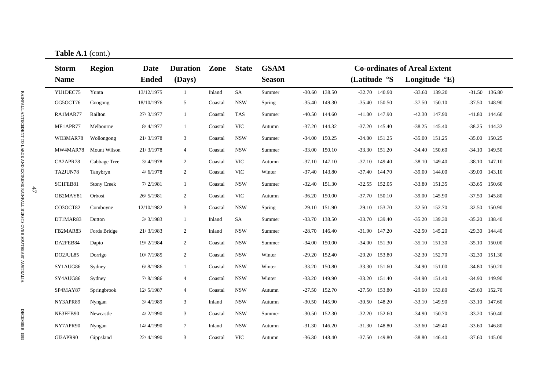|    | 100001111<br><b>Storm</b> | <b>Region</b>      | Date         | <b>Duration</b> | Zone    | <b>State</b> | <b>GSAM</b>   | <b>Co-ordinates of Areal Extent</b> |                 |                   |        |                          |        |          |                 |
|----|---------------------------|--------------------|--------------|-----------------|---------|--------------|---------------|-------------------------------------|-----------------|-------------------|--------|--------------------------|--------|----------|-----------------|
|    | <b>Name</b>               |                    | <b>Ended</b> | (Days)          |         |              | <b>Season</b> |                                     |                 | (Latitude °S      |        | Longitude $\mathrm{E}$ ) |        |          |                 |
|    | YU1DEC75                  | Yunta              | 13/12/1975   | $\mathbf{1}$    | Inland  | SA           | Summer        |                                     | $-30.60$ 138.50 | $-32.70$ 140.90   |        | $-33.60$ 139.20          |        |          | $-31.50$ 136.80 |
|    | GG5OCT76                  | Googong            | 18/10/1976   | 5               | Coastal | <b>NSW</b>   | Spring        |                                     | $-35.40$ 149.30 | $-35.40$ 150.50   |        | $-37.50$ 150.10          |        |          | $-37.50$ 148.90 |
|    | RA1MAR77                  | Railton            | 27/3/1977    |                 | Coastal | <b>TAS</b>   | Summer        |                                     | $-40.50$ 144.60 | $-41.00$ 147.90   |        | $-42.30$                 | 147.90 |          | $-41.80$ 144.60 |
|    | ME1APR77                  | Melbourne          | 8/4/1977     |                 | Coastal | <b>VIC</b>   | Autumn        | $-37.20$                            | 144.32          | $-37.20$ 145.40   |        | $-38.25$                 | 145.40 |          | $-38.25$ 144.32 |
|    | WO3MAR78                  | Wollongong         | 21/3/1978    | 3               | Coastal | <b>NSW</b>   | Summer        | $-34.00$                            | 150.25          | $-34.00$ 151.25   |        | $-35.00$                 | 151.25 | $-35.00$ | 150.25          |
|    | MW4MAR78                  | Mount Wilson       | 21/3/1978    | 4               | Coastal | <b>NSW</b>   | Summer        | $-33.00$                            | 150.10          | $-33.30$          | 151.20 | $-34.40$                 | 150.60 | $-34.10$ | 149.50          |
|    | CA2APR78                  | Cabbage Tree       | 3/4/1978     | $\overline{2}$  | Coastal | <b>VIC</b>   | Autumn        | $-37.10$                            | 147.10          | $-37.10$          | 149.40 | $-38.10$                 | 149.40 | $-38.10$ | 147.10          |
|    | TA2JUN78                  | Tanybryn           | 4/6/1978     | $\overline{2}$  | Coastal | <b>VIC</b>   | Winter        | $-37.40$                            | 143.80          | $-37.40$ 144.70   |        | $-39.00$                 | 144.00 |          | $-39.00$ 143.10 |
| 47 | SC1FEB81                  | <b>Stony Creek</b> | 7/2/1981     |                 | Coastal | <b>NSW</b>   | Summer        |                                     | $-32.40$ 151.30 | $-32.55$ 152.05   |        | $-33.80$                 | 151.35 |          | $-33.65$ 150.60 |
|    | OB2MAY81                  | Orbost             | 26/5/1981    | $\overline{2}$  | Coastal | <b>VIC</b>   | Autumn        | $-36.20$                            | 150.00          | $-37.70$ 150.10   |        | $-39.00$                 | 145.90 |          | $-37.50$ 145.80 |
|    | CO3OCT82                  | Comboyne           | 12/10/1982   | 3               | Coastal | <b>NSW</b>   | Spring        | $-29.10$                            | 151.90          | $-29.10$ 153.70   |        | $-32.50$                 | 152.70 |          | $-32.50$ 150.90 |
|    | DT1MAR83                  | Dutton             | 3/3/1983     | 1               | Inland  | SA           | Summer        | $-33.70$                            | 138.50          | $-33.70$          | 139.40 | $-35.20$                 | 139.30 | $-35.20$ | 138.40          |
|    | FB2MAR83                  | Fords Bridge       | 21/3/1983    | $\overline{2}$  | Inland  | <b>NSW</b>   | Summer        | $-28.70$                            | 146.40          | $-31.90$ $147.20$ |        | $-32.50$                 | 145.20 | $-29.30$ | 144.40          |
|    | DA2FEB84                  | Dapto              | 19/2/1984    | 2               | Coastal | <b>NSW</b>   | Summer        | $-34.00$                            | 150.00          | $-34.00$          | 151.30 | $-35.10$                 | 151.30 |          | $-35.10$ 150.00 |
|    | DO2JUL85                  | Dorrigo            | 10/7/1985    | $\overline{2}$  | Coastal | <b>NSW</b>   | Winter        | $-29.20$                            | 152.40          | $-29.20$          | 153.80 | $-32.30$                 | 152.70 | $-32.30$ | 151.30          |
|    | SY1AUG86                  | Sydney             | 6/ 8/1986    |                 | Coastal | <b>NSW</b>   | Winter        | $-33.20$                            | 150.80          | $-33.30$          | 151.60 | $-34.90$                 | 151.00 |          | $-34.80$ 150.20 |
|    | SY4AUG86                  | Sydney             | 7/8/1986     | $\overline{4}$  | Coastal | <b>NSW</b>   | Winter        | $-33.20$                            | 149.90          | $-33.20$          | 151.40 | $-34.90$                 | 151.40 | $-34.90$ | 149.90          |
|    | SP4MAY87                  | Springbrook        | 12/5/1987    | $\overline{4}$  | Coastal | <b>NSW</b>   | Autumn        |                                     | $-27.50$ 152.70 | $-27.50$          | 153.80 | $-29.60$                 | 153.80 |          | $-29.60$ 152.70 |
|    | NY3APR89                  | Nyngan             | 3/4/1989     | 3               | Inland  | <b>NSW</b>   | Autumn        |                                     | $-30.50$ 145.90 | $-30.50$ 148.20   |        | $-33.10$                 | 149.90 |          | $-33.10$ 147.60 |
|    | NE3FEB90                  | Newcastle          | 4/2/1990     | 3               | Coastal | <b>NSW</b>   | Summer        |                                     | $-30.50$ 152.30 | $-32.20$ 152.60   |        | $-34.90$                 | 150.70 |          | $-33.20$ 150.40 |
|    | NY7APR90                  | Nyngan             | 14/4/1990    | $\tau$          | Inland  | <b>NSW</b>   | Autumn        | $-31.30$                            | 146.20          | $-31.30$ 148.80   |        | $-33.60$                 | 149.40 |          | $-33.60$ 146.80 |
|    | GI3APR90                  | Gippsland          | 22/4/1990    | 3               | Coastal | <b>VIC</b>   | Autumn        |                                     | $-36.30$ 148.40 | $-37.50$ 149.80   |        | $-38.80$                 | 146.40 |          | $-37.60$ 145.00 |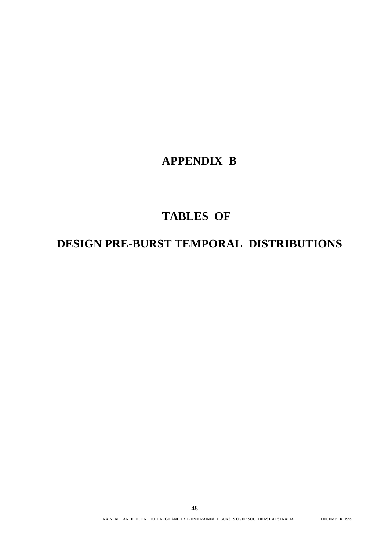# **APPENDIX B**

# **TABLES OF**

# **DESIGN PRE-BURST TEMPORAL DISTRIBUTIONS**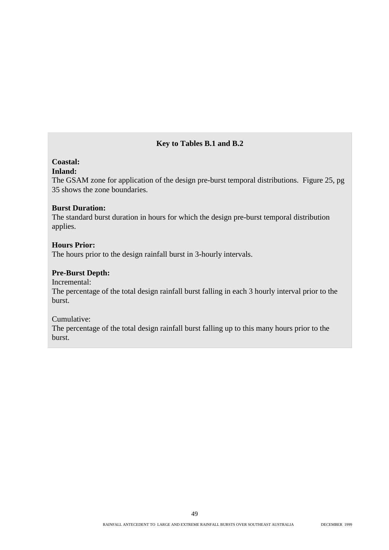#### **Key to Tables B.1 and B.2**

#### **Coastal:**

#### **Inland:**

The GSAM zone for application of the design pre-burst temporal distributions. Figure 25, pg 35 shows the zone boundaries.

#### **Burst Duration:**

The standard burst duration in hours for which the design pre-burst temporal distribution applies.

#### **Hours Prior:**

The hours prior to the design rainfall burst in 3-hourly intervals.

#### **Pre-Burst Depth:**

Incremental:

The percentage of the total design rainfall burst falling in each 3 hourly interval prior to the burst.

Cumulative:

The percentage of the total design rainfall burst falling up to this many hours prior to the burst.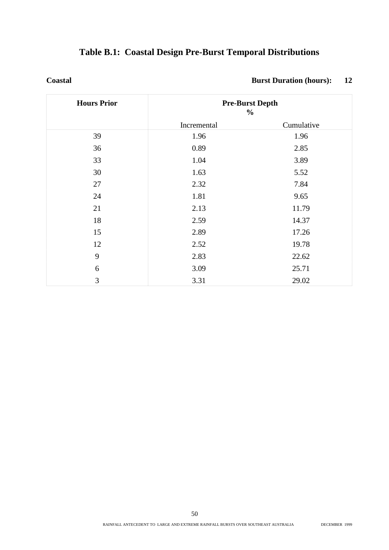|  | <b>Table B.1: Coastal Design Pre-Burst Temporal Distributions</b> |  |
|--|-------------------------------------------------------------------|--|
|  |                                                                   |  |

**Coastal Burst Duration (hours):** 12

| <b>Hours Prior</b> |             | <b>Pre-Burst Depth</b><br>$\frac{0}{0}$ |
|--------------------|-------------|-----------------------------------------|
|                    | Incremental | Cumulative                              |
| 39                 | 1.96        | 1.96                                    |
| 36                 | 0.89        | 2.85                                    |
| 33                 | 1.04        | 3.89                                    |
| 30                 | 1.63        | 5.52                                    |
| 27                 | 2.32        | 7.84                                    |
| 24                 | 1.81        | 9.65                                    |
| 21                 | 2.13        | 11.79                                   |
| 18                 | 2.59        | 14.37                                   |
| 15                 | 2.89        | 17.26                                   |
| 12                 | 2.52        | 19.78                                   |
| 9                  | 2.83        | 22.62                                   |
| 6                  | 3.09        | 25.71                                   |
| 3                  | 3.31        | 29.02                                   |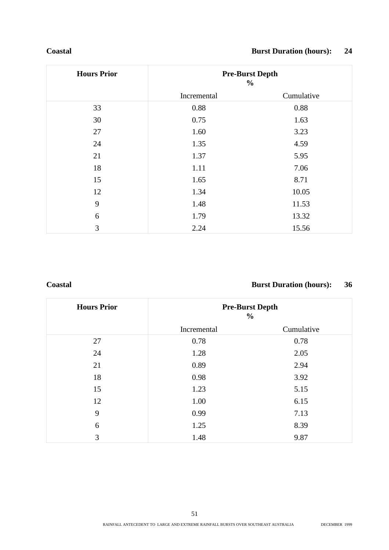#### **Coastal Burst Duration (hours): 24**

| <b>Hours Prior</b> |             | <b>Pre-Burst Depth</b><br>$\frac{0}{0}$ |
|--------------------|-------------|-----------------------------------------|
|                    | Incremental | Cumulative                              |
| 33                 | 0.88        | 0.88                                    |
| 30                 | 0.75        | 1.63                                    |
| 27                 | 1.60        | 3.23                                    |
| 24                 | 1.35        | 4.59                                    |
| 21                 | 1.37        | 5.95                                    |
| 18                 | 1.11        | 7.06                                    |
| 15                 | 1.65        | 8.71                                    |
| 12                 | 1.34        | 10.05                                   |
| 9                  | 1.48        | 11.53                                   |
| 6                  | 1.79        | 13.32                                   |
| 3                  | 2.24        | 15.56                                   |

### **Coastal Burst Duration (hours): 36**

| <b>Hours Prior</b> |             | <b>Pre-Burst Depth</b><br>$\frac{0}{0}$ |
|--------------------|-------------|-----------------------------------------|
|                    | Incremental | Cumulative                              |
| 27                 | 0.78        | 0.78                                    |
| 24                 | 1.28        | 2.05                                    |
| 21                 | 0.89        | 2.94                                    |
| 18                 | 0.98        | 3.92                                    |
| 15                 | 1.23        | 5.15                                    |
| 12                 | 1.00        | 6.15                                    |
| 9                  | 0.99        | 7.13                                    |
| 6                  | 1.25        | 8.39                                    |
| 3                  | 1.48        | 9.87                                    |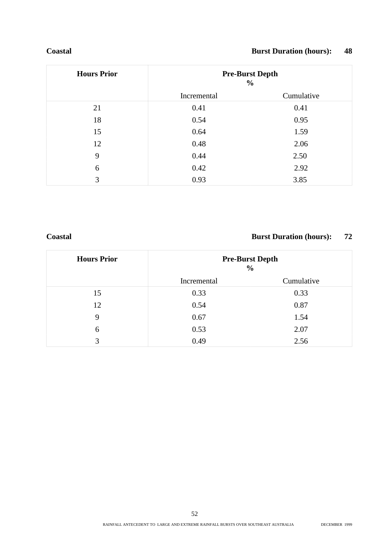#### **Coastal Burst Duration (hours): 48**

| <b>Hours Prior</b> | <b>Pre-Burst Depth</b><br>$\frac{0}{0}$ |            |
|--------------------|-----------------------------------------|------------|
|                    | Incremental                             | Cumulative |
| 21                 | 0.41                                    | 0.41       |
| 18                 | 0.54                                    | 0.95       |
| 15                 | 0.64                                    | 1.59       |
| 12                 | 0.48                                    | 2.06       |
| 9                  | 0.44                                    | 2.50       |
| 6                  | 0.42                                    | 2.92       |
| 3                  | 0.93                                    | 3.85       |

## **Coastal Burst Duration (hours): 72**

| <b>Hours Prior</b> | <b>Pre-Burst Depth</b><br>$\frac{0}{0}$ |            |
|--------------------|-----------------------------------------|------------|
|                    | Incremental                             | Cumulative |
| 15                 | 0.33                                    | 0.33       |
| 12                 | 0.54                                    | 0.87       |
| 9                  | 0.67                                    | 1.54       |
| 6                  | 0.53                                    | 2.07       |
| 3                  | 0.49                                    | 2.56       |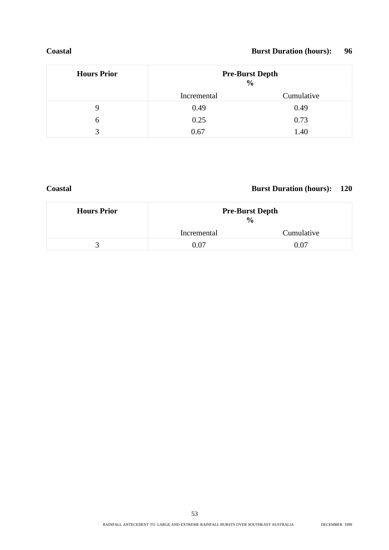#### **Coastal Burst Duration (hours): 96**

| <b>Hours Prior</b> |             | <b>Pre-Burst Depth</b><br>$\frac{6}{6}$ |
|--------------------|-------------|-----------------------------------------|
|                    | Incremental | Cumulative                              |
| 9                  | 0.49        | 0.49                                    |
| 6                  | 0.25        | 0.73                                    |
| 3                  | 0.67        | 1.40                                    |

#### **Coastal Burst Duration (hours): 120**

| <b>Hours Prior</b> | <b>Pre-Burst Depth</b><br>$\frac{0}{0}$ |            |
|--------------------|-----------------------------------------|------------|
|                    | Incremental                             | Cumulative |
|                    | 0.07                                    | 0.07       |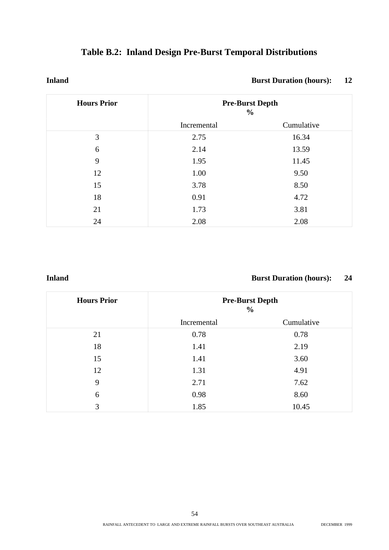| <b>Table B.2: Inland Design Pre-Burst Temporal Distributions</b> |  |  |  |  |  |
|------------------------------------------------------------------|--|--|--|--|--|
|------------------------------------------------------------------|--|--|--|--|--|

#### **Inland Burst Duration (hours):** 12

| <b>Hours Prior</b> | <b>Pre-Burst Depth</b><br>$\frac{0}{0}$ |            |
|--------------------|-----------------------------------------|------------|
|                    | Incremental                             | Cumulative |
| 3                  | 2.75                                    | 16.34      |
| 6                  | 2.14                                    | 13.59      |
| 9                  | 1.95                                    | 11.45      |
| 12                 | 1.00                                    | 9.50       |
| 15                 | 3.78                                    | 8.50       |
| 18                 | 0.91                                    | 4.72       |
| 21                 | 1.73                                    | 3.81       |
| 24                 | 2.08                                    | 2.08       |

#### **Inland Burst Duration (hours): 24**

| <b>Hours Prior</b> | <b>Pre-Burst Depth</b><br>$\frac{0}{0}$ |            |  |
|--------------------|-----------------------------------------|------------|--|
|                    | Incremental                             | Cumulative |  |
| 21                 | 0.78                                    | 0.78       |  |
| 18                 | 1.41                                    | 2.19       |  |
| 15                 | 1.41                                    | 3.60       |  |
| 12                 | 1.31                                    | 4.91       |  |
| 9                  | 2.71                                    | 7.62       |  |
| 6                  | 0.98                                    | 8.60       |  |
| 3                  | 1.85                                    | 10.45      |  |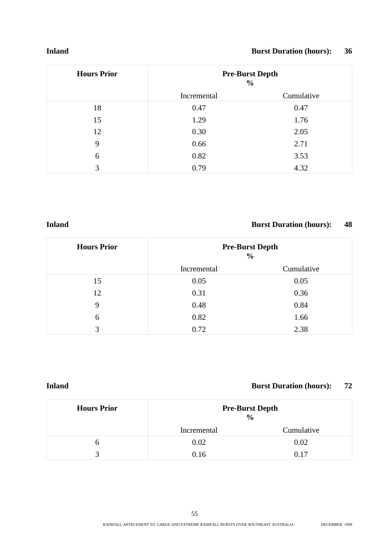#### **Inland Burst Duration (hours): 36**

| <b>Hours Prior</b> | <b>Pre-Burst Depth</b><br>$\frac{0}{0}$ |              |
|--------------------|-----------------------------------------|--------------|
|                    | Incremental                             | Cumulative   |
| 18                 | 0.47                                    | 0.47         |
| 15                 | 1.29                                    | 1.76         |
| 12                 | 0.30                                    | 2.05<br>2.71 |
| 9                  | 0.66                                    |              |
| 6                  | 0.82                                    | 3.53         |
| 3                  | 0.79                                    | 4.32         |

#### **Inland Burst Duration (hours): 48**

| <b>Hours Prior</b> | <b>Pre-Burst Depth</b><br>$\frac{0}{0}$ |            |
|--------------------|-----------------------------------------|------------|
|                    | Incremental                             | Cumulative |
| 15                 | 0.05                                    | 0.05       |
| 12                 | 0.31                                    | 0.36       |
| 9                  | 0.48                                    | 0.84       |
| 6                  | 0.82                                    | 1.66       |
| 3                  | 0.72                                    | 2.38       |

#### **Inland Burst Duration (hours): 72**

| <b>Hours Prior</b> | <b>Pre-Burst Depth</b><br>$\frac{0}{0}$ |            |  |
|--------------------|-----------------------------------------|------------|--|
|                    | Incremental                             | Cumulative |  |
| n                  | 0.02                                    | 0.02       |  |
| ≺                  | 0.16                                    | 0.17       |  |